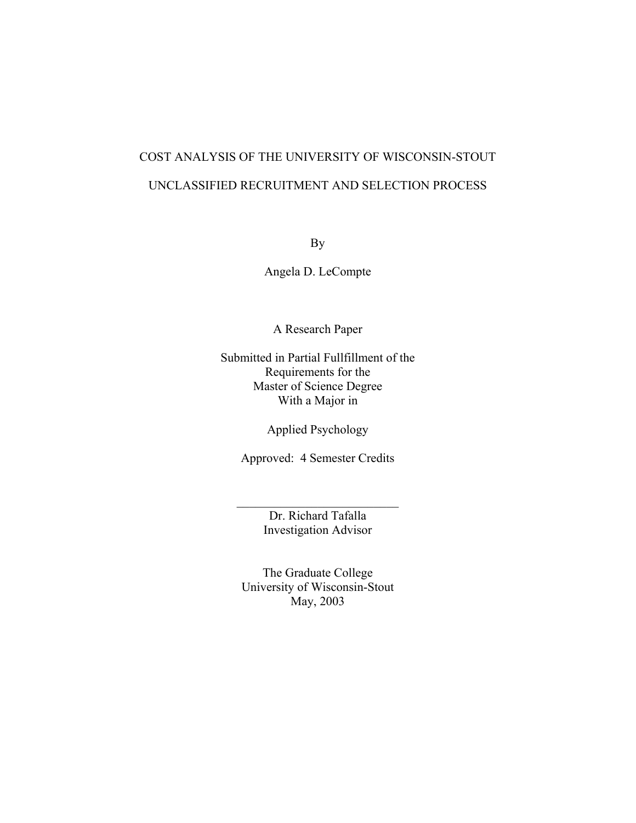# COST ANALYSIS OF THE UNIVERSITY OF WISCONSIN-STOUT UNCLASSIFIED RECRUITMENT AND SELECTION PROCESS

By

Angela D. LeCompte

A Research Paper

Submitted in Partial Fullfillment of the Requirements for the Master of Science Degree With a Major in

Applied Psychology

Approved: 4 Semester Credits

Dr. Richard Tafalla Investigation Advisor

 $\mathcal{L}_\text{max}$ 

The Graduate College University of Wisconsin-Stout May, 2003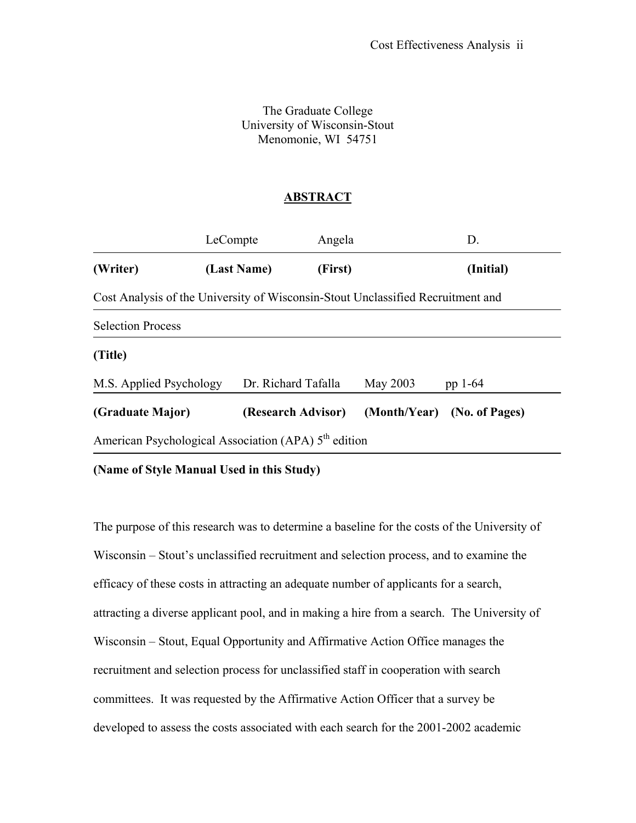The Graduate College University of Wisconsin-Stout Menomonie, WI 54751

### **ABSTRACT**

<span id="page-1-0"></span>

|                                                                  | LeCompte                                                                        | Angela       | D.             |  |  |  |  |
|------------------------------------------------------------------|---------------------------------------------------------------------------------|--------------|----------------|--|--|--|--|
| (Writer)                                                         | (Last Name)                                                                     | (First)      | (Initial)      |  |  |  |  |
|                                                                  | Cost Analysis of the University of Wisconsin-Stout Unclassified Recruitment and |              |                |  |  |  |  |
| <b>Selection Process</b>                                         |                                                                                 |              |                |  |  |  |  |
| (Title)                                                          |                                                                                 |              |                |  |  |  |  |
| M.S. Applied Psychology                                          | Dr. Richard Tafalla                                                             | May 2003     | pp 1-64        |  |  |  |  |
| (Graduate Major)                                                 | (Research Advisor)                                                              | (Month/Year) | (No. of Pages) |  |  |  |  |
| American Psychological Association (APA) 5 <sup>th</sup> edition |                                                                                 |              |                |  |  |  |  |

**(Name of Style Manual Used in this Study)** 

The purpose of this research was to determine a baseline for the costs of the University of Wisconsin – Stout's unclassified recruitment and selection process, and to examine the efficacy of these costs in attracting an adequate number of applicants for a search, attracting a diverse applicant pool, and in making a hire from a search. The University of Wisconsin – Stout, Equal Opportunity and Affirmative Action Office manages the recruitment and selection process for unclassified staff in cooperation with search committees. It was requested by the Affirmative Action Officer that a survey be developed to assess the costs associated with each search for the 2001-2002 academic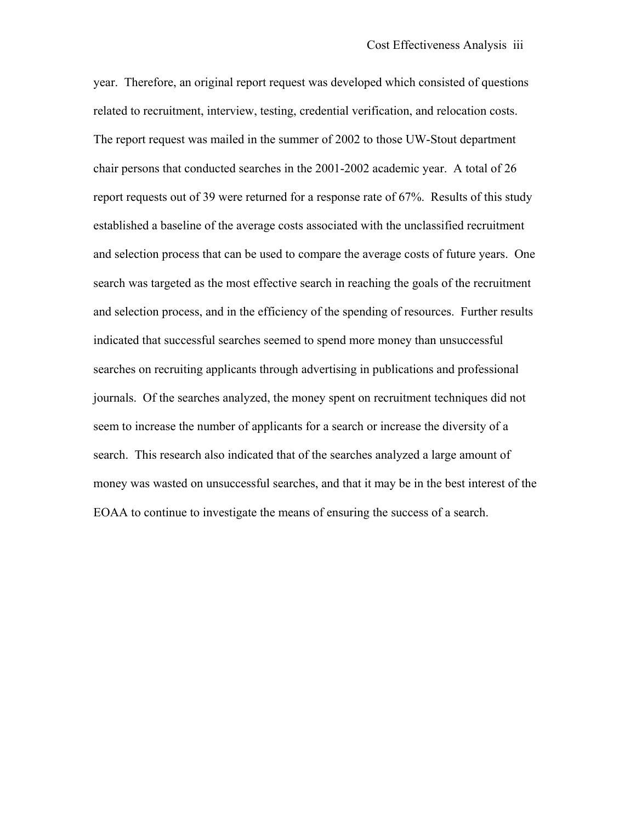year. Therefore, an original report request was developed which consisted of questions related to recruitment, interview, testing, credential verification, and relocation costs. The report request was mailed in the summer of 2002 to those UW-Stout department chair persons that conducted searches in the 2001-2002 academic year. A total of 26 report requests out of 39 were returned for a response rate of 67%. Results of this study established a baseline of the average costs associated with the unclassified recruitment and selection process that can be used to compare the average costs of future years. One search was targeted as the most effective search in reaching the goals of the recruitment and selection process, and in the efficiency of the spending of resources. Further results indicated that successful searches seemed to spend more money than unsuccessful searches on recruiting applicants through advertising in publications and professional journals. Of the searches analyzed, the money spent on recruitment techniques did not seem to increase the number of applicants for a search or increase the diversity of a search. This research also indicated that of the searches analyzed a large amount of money was wasted on unsuccessful searches, and that it may be in the best interest of the EOAA to continue to investigate the means of ensuring the success of a search.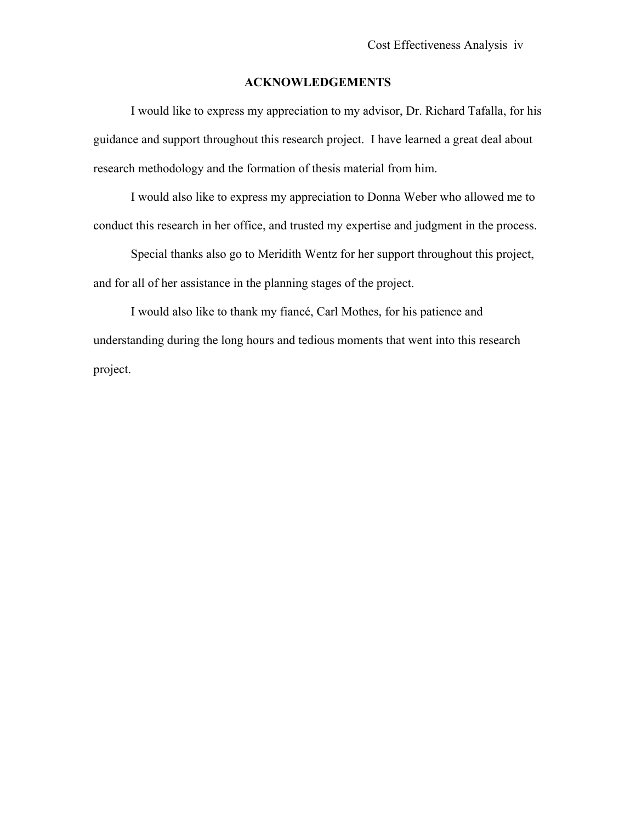#### **ACKNOWLEDGEMENTS**

I would like to express my appreciation to my advisor, Dr. Richard Tafalla, for his guidance and support throughout this research project. I have learned a great deal about research methodology and the formation of thesis material from him.

I would also like to express my appreciation to Donna Weber who allowed me to conduct this research in her office, and trusted my expertise and judgment in the process.

Special thanks also go to Meridith Wentz for her support throughout this project, and for all of her assistance in the planning stages of the project.

I would also like to thank my fiancé, Carl Mothes, for his patience and understanding during the long hours and tedious moments that went into this research project.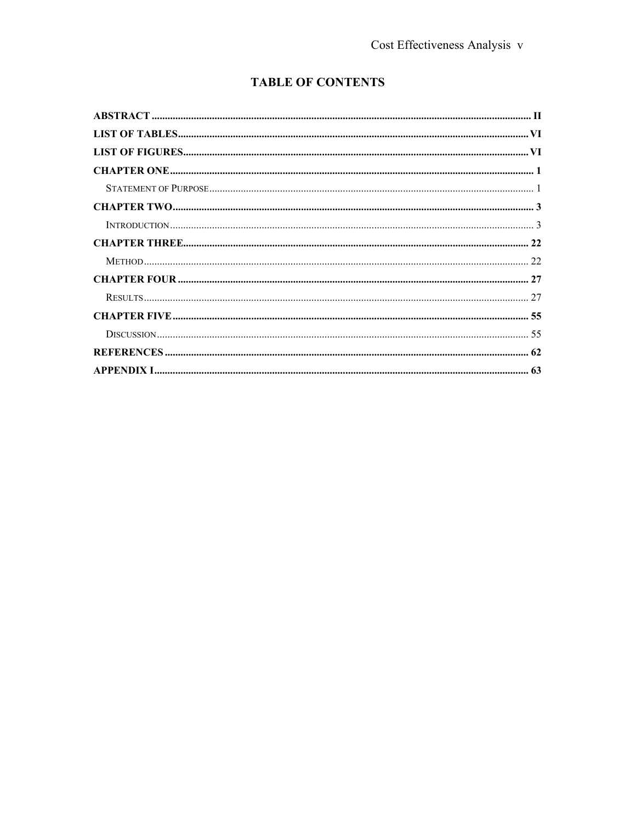# **TABLE OF CONTENTS**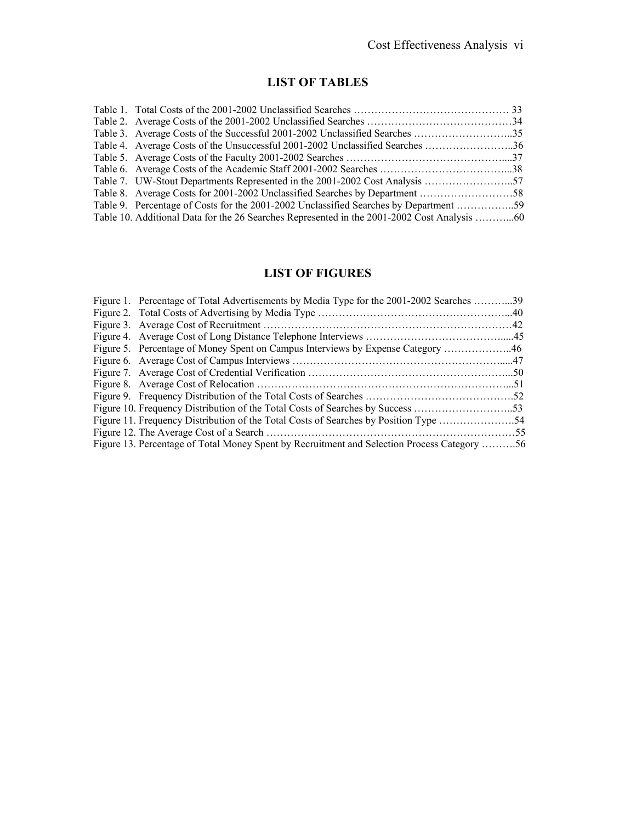# **LIST OF TABLES**

<span id="page-5-0"></span>

| Table 3. Average Costs of the Successful 2001-2002 Unclassified Searches 35           |  |
|---------------------------------------------------------------------------------------|--|
| Table 4. Average Costs of the Unsuccessful 2001-2002 Unclassified Searches 36         |  |
|                                                                                       |  |
|                                                                                       |  |
|                                                                                       |  |
|                                                                                       |  |
| Table 9. Percentage of Costs for the 2001-2002 Unclassified Searches by Department 59 |  |
|                                                                                       |  |
|                                                                                       |  |

# **LIST OF FIGURES**

| Figure 1. Percentage of Total Advertisements by Media Type for the 2001-2002 Searches 39    |  |
|---------------------------------------------------------------------------------------------|--|
|                                                                                             |  |
|                                                                                             |  |
|                                                                                             |  |
| Figure 5. Percentage of Money Spent on Campus Interviews by Expense Category 46             |  |
|                                                                                             |  |
|                                                                                             |  |
|                                                                                             |  |
|                                                                                             |  |
|                                                                                             |  |
|                                                                                             |  |
|                                                                                             |  |
| Figure 13. Percentage of Total Money Spent by Recruitment and Selection Process Category 56 |  |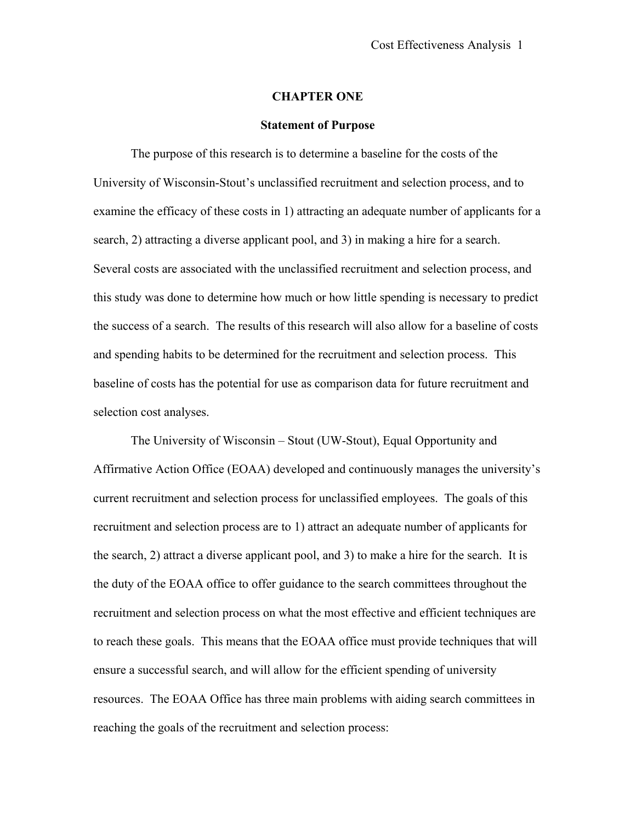#### **CHAPTER ONE**

#### **Statement of Purpose**

<span id="page-6-0"></span>The purpose of this research is to determine a baseline for the costs of the University of Wisconsin-Stout's unclassified recruitment and selection process, and to examine the efficacy of these costs in 1) attracting an adequate number of applicants for a search, 2) attracting a diverse applicant pool, and 3) in making a hire for a search. Several costs are associated with the unclassified recruitment and selection process, and this study was done to determine how much or how little spending is necessary to predict the success of a search. The results of this research will also allow for a baseline of costs and spending habits to be determined for the recruitment and selection process. This baseline of costs has the potential for use as comparison data for future recruitment and selection cost analyses.

The University of Wisconsin – Stout (UW-Stout), Equal Opportunity and Affirmative Action Office (EOAA) developed and continuously manages the university's current recruitment and selection process for unclassified employees. The goals of this recruitment and selection process are to 1) attract an adequate number of applicants for the search, 2) attract a diverse applicant pool, and 3) to make a hire for the search. It is the duty of the EOAA office to offer guidance to the search committees throughout the recruitment and selection process on what the most effective and efficient techniques are to reach these goals. This means that the EOAA office must provide techniques that will ensure a successful search, and will allow for the efficient spending of university resources. The EOAA Office has three main problems with aiding search committees in reaching the goals of the recruitment and selection process: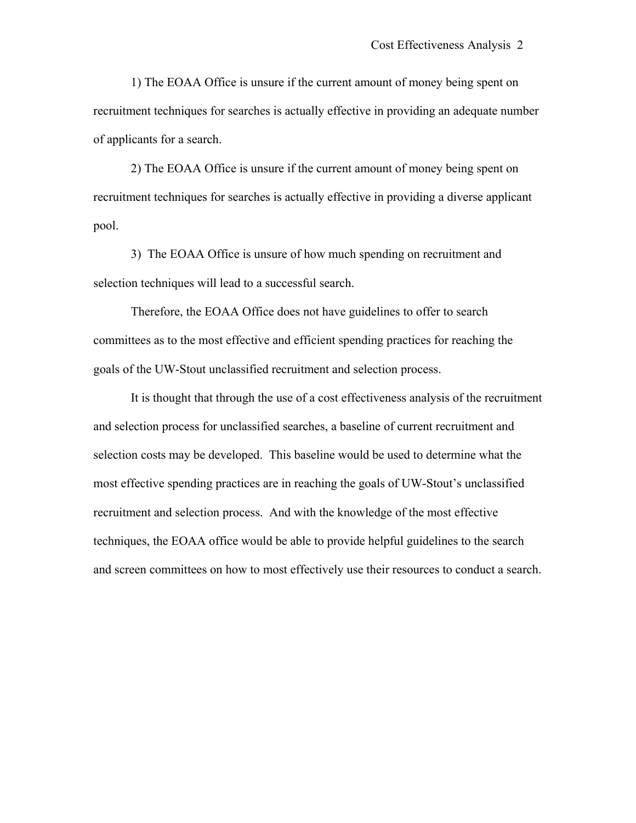1) The EOAA Office is unsure if the current amount of money being spent on recruitment techniques for searches is actually effective in providing an adequate number of applicants for a search.

2) The EOAA Office is unsure if the current amount of money being spent on recruitment techniques for searches is actually effective in providing a diverse applicant pool.

3) The EOAA Office is unsure of how much spending on recruitment and selection techniques will lead to a successful search.

Therefore, the EOAA Office does not have guidelines to offer to search committees as to the most effective and efficient spending practices for reaching the goals of the UW-Stout unclassified recruitment and selection process.

It is thought that through the use of a cost effectiveness analysis of the recruitment and selection process for unclassified searches, a baseline of current recruitment and selection costs may be developed. This baseline would be used to determine what the most effective spending practices are in reaching the goals of UW-Stout's unclassified recruitment and selection process. And with the knowledge of the most effective techniques, the EOAA office would be able to provide helpful guidelines to the search and screen committees on how to most effectively use their resources to conduct a search.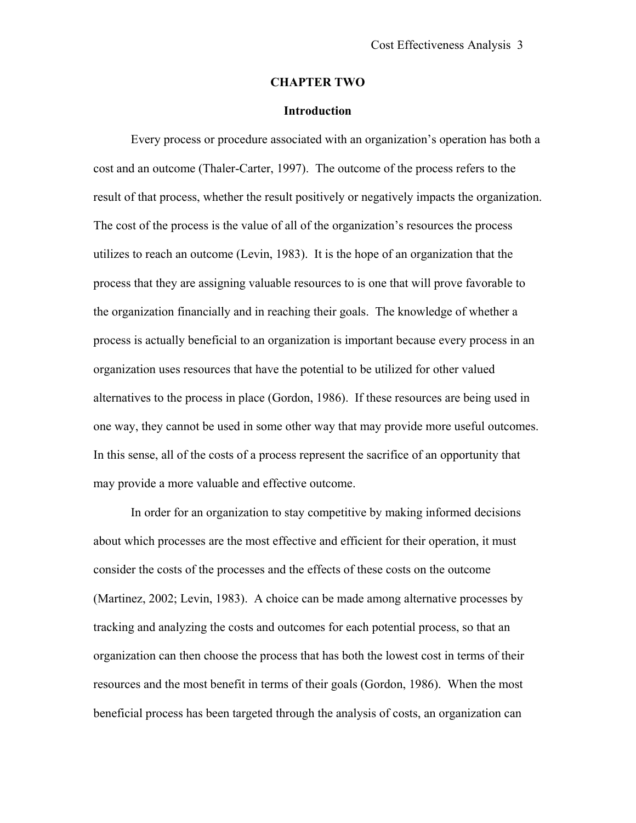#### **CHAPTER TWO**

#### **Introduction**

<span id="page-8-0"></span>Every process or procedure associated with an organization's operation has both a cost and an outcome (Thaler-Carter, 1997). The outcome of the process refers to the result of that process, whether the result positively or negatively impacts the organization. The cost of the process is the value of all of the organization's resources the process utilizes to reach an outcome (Levin, 1983). It is the hope of an organization that the process that they are assigning valuable resources to is one that will prove favorable to the organization financially and in reaching their goals. The knowledge of whether a process is actually beneficial to an organization is important because every process in an organization uses resources that have the potential to be utilized for other valued alternatives to the process in place (Gordon, 1986). If these resources are being used in one way, they cannot be used in some other way that may provide more useful outcomes. In this sense, all of the costs of a process represent the sacrifice of an opportunity that may provide a more valuable and effective outcome.

In order for an organization to stay competitive by making informed decisions about which processes are the most effective and efficient for their operation, it must consider the costs of the processes and the effects of these costs on the outcome (Martinez, 2002; Levin, 1983). A choice can be made among alternative processes by tracking and analyzing the costs and outcomes for each potential process, so that an organization can then choose the process that has both the lowest cost in terms of their resources and the most benefit in terms of their goals (Gordon, 1986). When the most beneficial process has been targeted through the analysis of costs, an organization can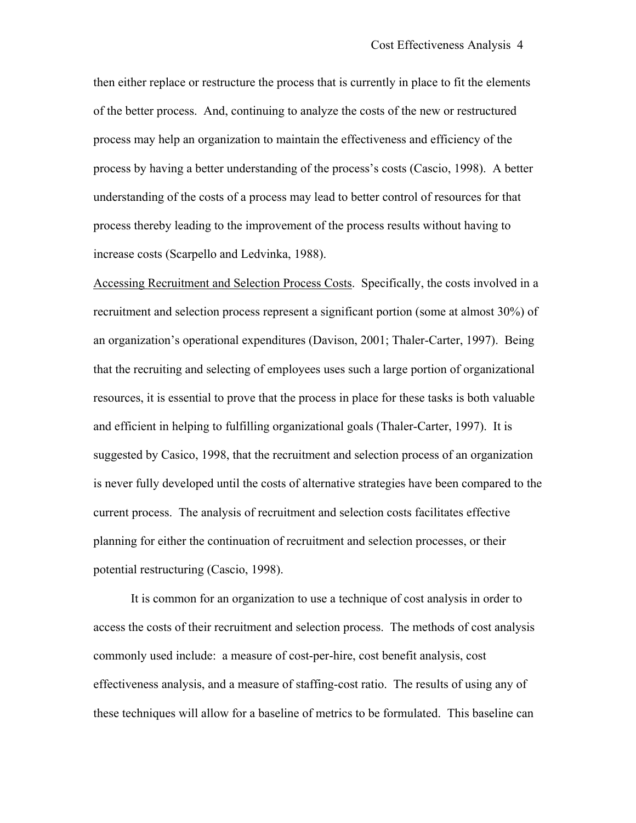then either replace or restructure the process that is currently in place to fit the elements of the better process. And, continuing to analyze the costs of the new or restructured process may help an organization to maintain the effectiveness and efficiency of the process by having a better understanding of the process's costs (Cascio, 1998). A better understanding of the costs of a process may lead to better control of resources for that process thereby leading to the improvement of the process results without having to increase costs (Scarpello and Ledvinka, 1988).

Accessing Recruitment and Selection Process Costs. Specifically, the costs involved in a recruitment and selection process represent a significant portion (some at almost 30%) of an organization's operational expenditures (Davison, 2001; Thaler-Carter, 1997). Being that the recruiting and selecting of employees uses such a large portion of organizational resources, it is essential to prove that the process in place for these tasks is both valuable and efficient in helping to fulfilling organizational goals (Thaler-Carter, 1997). It is suggested by Casico, 1998, that the recruitment and selection process of an organization is never fully developed until the costs of alternative strategies have been compared to the current process. The analysis of recruitment and selection costs facilitates effective planning for either the continuation of recruitment and selection processes, or their potential restructuring (Cascio, 1998).

It is common for an organization to use a technique of cost analysis in order to access the costs of their recruitment and selection process. The methods of cost analysis commonly used include: a measure of cost-per-hire, cost benefit analysis, cost effectiveness analysis, and a measure of staffing-cost ratio. The results of using any of these techniques will allow for a baseline of metrics to be formulated. This baseline can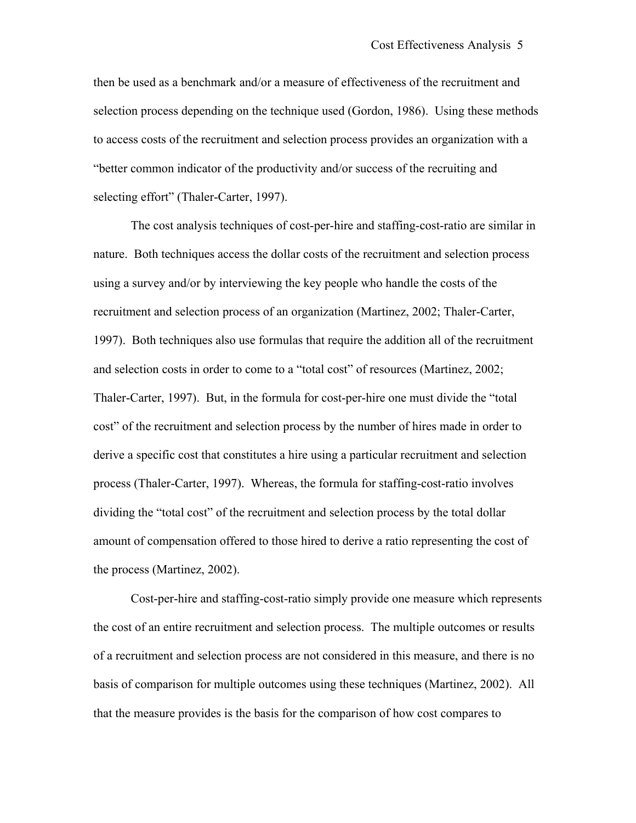then be used as a benchmark and/or a measure of effectiveness of the recruitment and selection process depending on the technique used (Gordon, 1986). Using these methods to access costs of the recruitment and selection process provides an organization with a "better common indicator of the productivity and/or success of the recruiting and selecting effort" (Thaler-Carter, 1997).

The cost analysis techniques of cost-per-hire and staffing-cost-ratio are similar in nature. Both techniques access the dollar costs of the recruitment and selection process using a survey and/or by interviewing the key people who handle the costs of the recruitment and selection process of an organization (Martinez, 2002; Thaler-Carter, 1997). Both techniques also use formulas that require the addition all of the recruitment and selection costs in order to come to a "total cost" of resources (Martinez, 2002; Thaler-Carter, 1997). But, in the formula for cost-per-hire one must divide the "total cost" of the recruitment and selection process by the number of hires made in order to derive a specific cost that constitutes a hire using a particular recruitment and selection process (Thaler-Carter, 1997). Whereas, the formula for staffing-cost-ratio involves dividing the "total cost" of the recruitment and selection process by the total dollar amount of compensation offered to those hired to derive a ratio representing the cost of the process (Martinez, 2002).

Cost-per-hire and staffing-cost-ratio simply provide one measure which represents the cost of an entire recruitment and selection process. The multiple outcomes or results of a recruitment and selection process are not considered in this measure, and there is no basis of comparison for multiple outcomes using these techniques (Martinez, 2002). All that the measure provides is the basis for the comparison of how cost compares to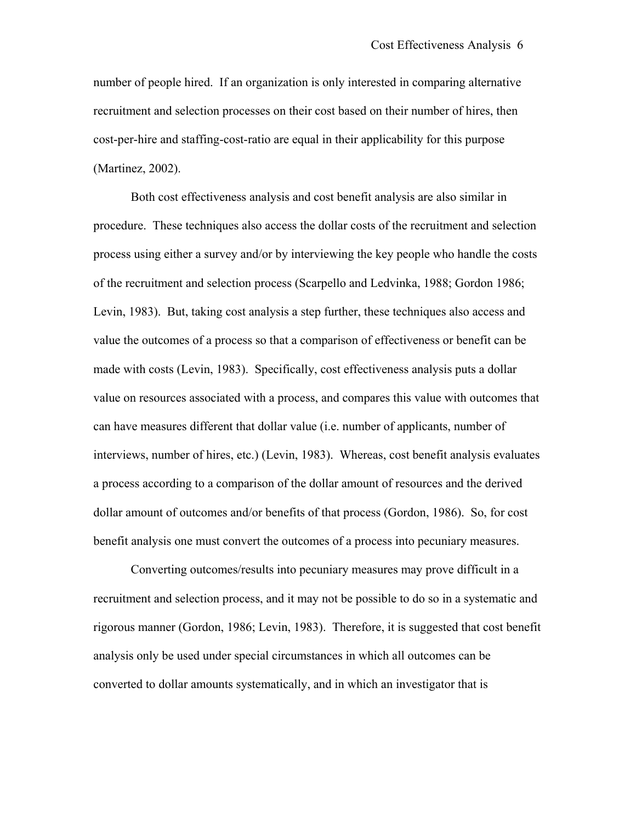number of people hired. If an organization is only interested in comparing alternative recruitment and selection processes on their cost based on their number of hires, then cost-per-hire and staffing-cost-ratio are equal in their applicability for this purpose (Martinez, 2002).

Both cost effectiveness analysis and cost benefit analysis are also similar in procedure. These techniques also access the dollar costs of the recruitment and selection process using either a survey and/or by interviewing the key people who handle the costs of the recruitment and selection process (Scarpello and Ledvinka, 1988; Gordon 1986; Levin, 1983). But, taking cost analysis a step further, these techniques also access and value the outcomes of a process so that a comparison of effectiveness or benefit can be made with costs (Levin, 1983). Specifically, cost effectiveness analysis puts a dollar value on resources associated with a process, and compares this value with outcomes that can have measures different that dollar value (i.e. number of applicants, number of interviews, number of hires, etc.) (Levin, 1983). Whereas, cost benefit analysis evaluates a process according to a comparison of the dollar amount of resources and the derived dollar amount of outcomes and/or benefits of that process (Gordon, 1986). So, for cost benefit analysis one must convert the outcomes of a process into pecuniary measures.

Converting outcomes/results into pecuniary measures may prove difficult in a recruitment and selection process, and it may not be possible to do so in a systematic and rigorous manner (Gordon, 1986; Levin, 1983). Therefore, it is suggested that cost benefit analysis only be used under special circumstances in which all outcomes can be converted to dollar amounts systematically, and in which an investigator that is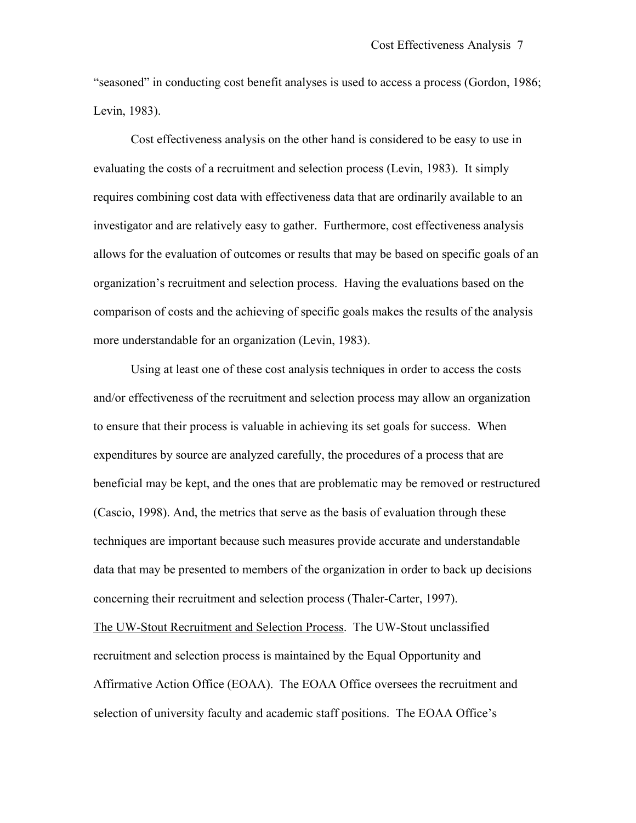"seasoned" in conducting cost benefit analyses is used to access a process (Gordon, 1986; Levin, 1983).

Cost effectiveness analysis on the other hand is considered to be easy to use in evaluating the costs of a recruitment and selection process (Levin, 1983). It simply requires combining cost data with effectiveness data that are ordinarily available to an investigator and are relatively easy to gather. Furthermore, cost effectiveness analysis allows for the evaluation of outcomes or results that may be based on specific goals of an organization's recruitment and selection process. Having the evaluations based on the comparison of costs and the achieving of specific goals makes the results of the analysis more understandable for an organization (Levin, 1983).

Using at least one of these cost analysis techniques in order to access the costs and/or effectiveness of the recruitment and selection process may allow an organization to ensure that their process is valuable in achieving its set goals for success. When expenditures by source are analyzed carefully, the procedures of a process that are beneficial may be kept, and the ones that are problematic may be removed or restructured (Cascio, 1998). And, the metrics that serve as the basis of evaluation through these techniques are important because such measures provide accurate and understandable data that may be presented to members of the organization in order to back up decisions concerning their recruitment and selection process (Thaler-Carter, 1997).

The UW-Stout Recruitment and Selection Process. The UW-Stout unclassified recruitment and selection process is maintained by the Equal Opportunity and Affirmative Action Office (EOAA). The EOAA Office oversees the recruitment and selection of university faculty and academic staff positions. The EOAA Office's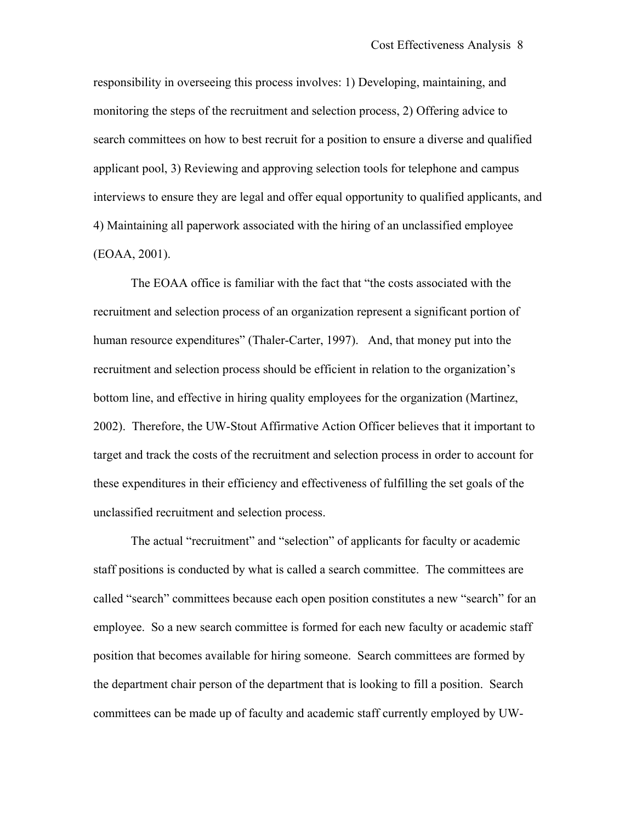responsibility in overseeing this process involves: 1) Developing, maintaining, and monitoring the steps of the recruitment and selection process, 2) Offering advice to search committees on how to best recruit for a position to ensure a diverse and qualified applicant pool, 3) Reviewing and approving selection tools for telephone and campus interviews to ensure they are legal and offer equal opportunity to qualified applicants, and 4) Maintaining all paperwork associated with the hiring of an unclassified employee (EOAA, 2001).

The EOAA office is familiar with the fact that "the costs associated with the recruitment and selection process of an organization represent a significant portion of human resource expenditures" (Thaler-Carter, 1997). And, that money put into the recruitment and selection process should be efficient in relation to the organization's bottom line, and effective in hiring quality employees for the organization (Martinez, 2002). Therefore, the UW-Stout Affirmative Action Officer believes that it important to target and track the costs of the recruitment and selection process in order to account for these expenditures in their efficiency and effectiveness of fulfilling the set goals of the unclassified recruitment and selection process.

The actual "recruitment" and "selection" of applicants for faculty or academic staff positions is conducted by what is called a search committee. The committees are called "search" committees because each open position constitutes a new "search" for an employee. So a new search committee is formed for each new faculty or academic staff position that becomes available for hiring someone. Search committees are formed by the department chair person of the department that is looking to fill a position. Search committees can be made up of faculty and academic staff currently employed by UW-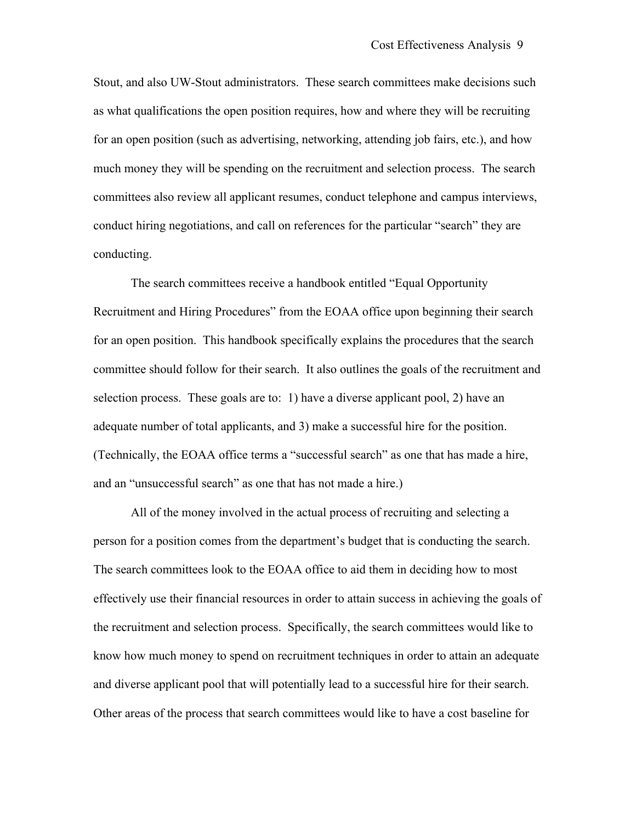Stout, and also UW-Stout administrators. These search committees make decisions such as what qualifications the open position requires, how and where they will be recruiting for an open position (such as advertising, networking, attending job fairs, etc.), and how much money they will be spending on the recruitment and selection process. The search committees also review all applicant resumes, conduct telephone and campus interviews, conduct hiring negotiations, and call on references for the particular "search" they are conducting.

The search committees receive a handbook entitled "Equal Opportunity Recruitment and Hiring Procedures" from the EOAA office upon beginning their search for an open position. This handbook specifically explains the procedures that the search committee should follow for their search. It also outlines the goals of the recruitment and selection process. These goals are to: 1) have a diverse applicant pool, 2) have an adequate number of total applicants, and 3) make a successful hire for the position. (Technically, the EOAA office terms a "successful search" as one that has made a hire, and an "unsuccessful search" as one that has not made a hire.)

All of the money involved in the actual process of recruiting and selecting a person for a position comes from the department's budget that is conducting the search. The search committees look to the EOAA office to aid them in deciding how to most effectively use their financial resources in order to attain success in achieving the goals of the recruitment and selection process. Specifically, the search committees would like to know how much money to spend on recruitment techniques in order to attain an adequate and diverse applicant pool that will potentially lead to a successful hire for their search. Other areas of the process that search committees would like to have a cost baseline for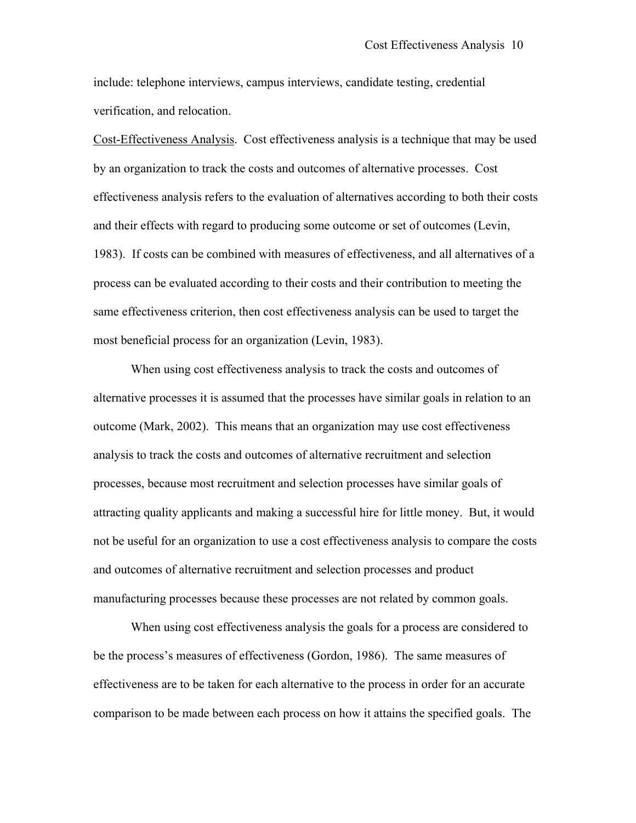include: telephone interviews, campus interviews, candidate testing, credential verification, and relocation.

Cost-Effectiveness Analysis. Cost effectiveness analysis is a technique that may be used by an organization to track the costs and outcomes of alternative processes. Cost effectiveness analysis refers to the evaluation of alternatives according to both their costs and their effects with regard to producing some outcome or set of outcomes (Levin, 1983). If costs can be combined with measures of effectiveness, and all alternatives of a process can be evaluated according to their costs and their contribution to meeting the same effectiveness criterion, then cost effectiveness analysis can be used to target the most beneficial process for an organization (Levin, 1983).

When using cost effectiveness analysis to track the costs and outcomes of alternative processes it is assumed that the processes have similar goals in relation to an outcome (Mark, 2002). This means that an organization may use cost effectiveness analysis to track the costs and outcomes of alternative recruitment and selection processes, because most recruitment and selection processes have similar goals of attracting quality applicants and making a successful hire for little money. But, it would not be useful for an organization to use a cost effectiveness analysis to compare the costs and outcomes of alternative recruitment and selection processes and product manufacturing processes because these processes are not related by common goals.

When using cost effectiveness analysis the goals for a process are considered to be the process's measures of effectiveness (Gordon, 1986). The same measures of effectiveness are to be taken for each alternative to the process in order for an accurate comparison to be made between each process on how it attains the specified goals. The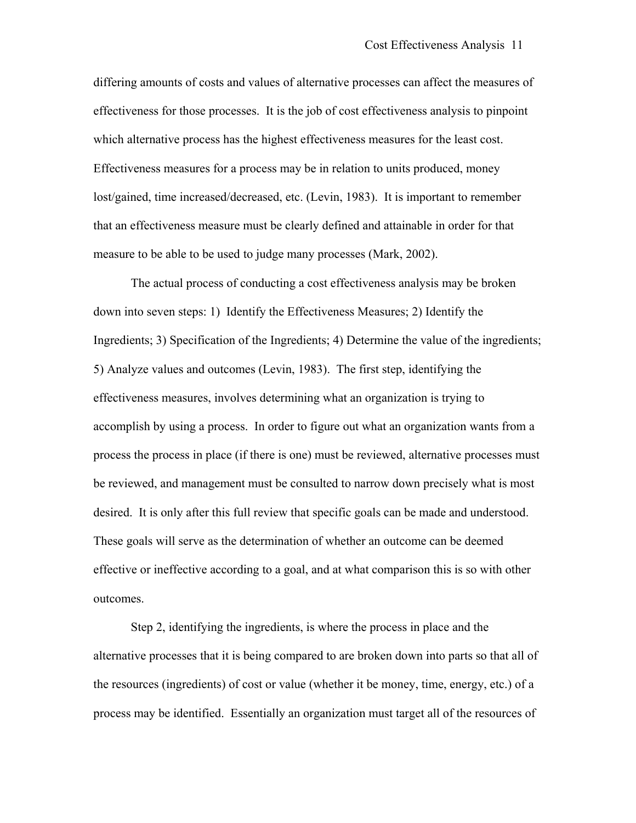differing amounts of costs and values of alternative processes can affect the measures of effectiveness for those processes. It is the job of cost effectiveness analysis to pinpoint which alternative process has the highest effectiveness measures for the least cost. Effectiveness measures for a process may be in relation to units produced, money lost/gained, time increased/decreased, etc. (Levin, 1983). It is important to remember that an effectiveness measure must be clearly defined and attainable in order for that measure to be able to be used to judge many processes (Mark, 2002).

The actual process of conducting a cost effectiveness analysis may be broken down into seven steps: 1) Identify the Effectiveness Measures; 2) Identify the Ingredients; 3) Specification of the Ingredients; 4) Determine the value of the ingredients; 5) Analyze values and outcomes (Levin, 1983). The first step, identifying the effectiveness measures, involves determining what an organization is trying to accomplish by using a process. In order to figure out what an organization wants from a process the process in place (if there is one) must be reviewed, alternative processes must be reviewed, and management must be consulted to narrow down precisely what is most desired. It is only after this full review that specific goals can be made and understood. These goals will serve as the determination of whether an outcome can be deemed effective or ineffective according to a goal, and at what comparison this is so with other outcomes.

Step 2, identifying the ingredients, is where the process in place and the alternative processes that it is being compared to are broken down into parts so that all of the resources (ingredients) of cost or value (whether it be money, time, energy, etc.) of a process may be identified. Essentially an organization must target all of the resources of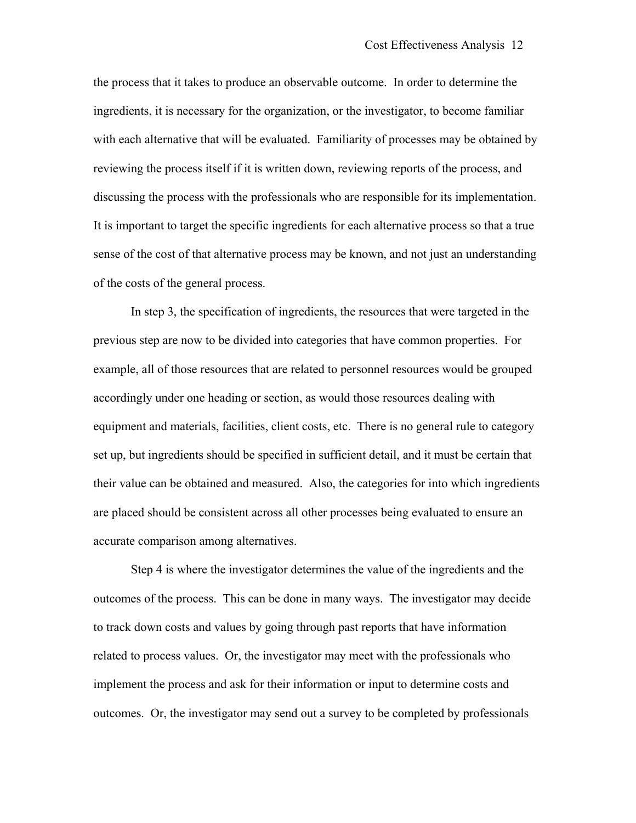the process that it takes to produce an observable outcome. In order to determine the ingredients, it is necessary for the organization, or the investigator, to become familiar with each alternative that will be evaluated. Familiarity of processes may be obtained by reviewing the process itself if it is written down, reviewing reports of the process, and discussing the process with the professionals who are responsible for its implementation. It is important to target the specific ingredients for each alternative process so that a true sense of the cost of that alternative process may be known, and not just an understanding of the costs of the general process.

In step 3, the specification of ingredients, the resources that were targeted in the previous step are now to be divided into categories that have common properties. For example, all of those resources that are related to personnel resources would be grouped accordingly under one heading or section, as would those resources dealing with equipment and materials, facilities, client costs, etc. There is no general rule to category set up, but ingredients should be specified in sufficient detail, and it must be certain that their value can be obtained and measured. Also, the categories for into which ingredients are placed should be consistent across all other processes being evaluated to ensure an accurate comparison among alternatives.

Step 4 is where the investigator determines the value of the ingredients and the outcomes of the process. This can be done in many ways. The investigator may decide to track down costs and values by going through past reports that have information related to process values. Or, the investigator may meet with the professionals who implement the process and ask for their information or input to determine costs and outcomes. Or, the investigator may send out a survey to be completed by professionals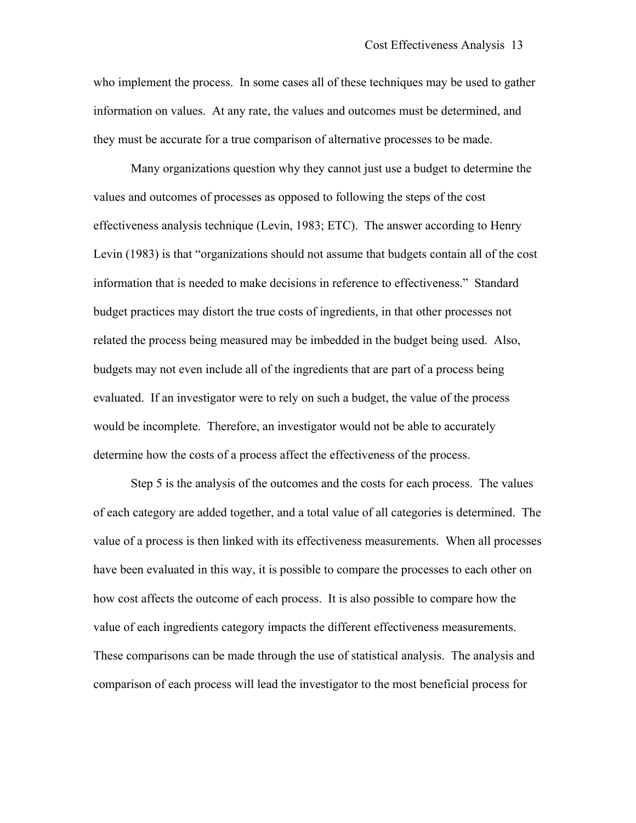who implement the process. In some cases all of these techniques may be used to gather information on values. At any rate, the values and outcomes must be determined, and they must be accurate for a true comparison of alternative processes to be made.

Many organizations question why they cannot just use a budget to determine the values and outcomes of processes as opposed to following the steps of the cost effectiveness analysis technique (Levin, 1983; ETC). The answer according to Henry Levin (1983) is that "organizations should not assume that budgets contain all of the cost information that is needed to make decisions in reference to effectiveness." Standard budget practices may distort the true costs of ingredients, in that other processes not related the process being measured may be imbedded in the budget being used. Also, budgets may not even include all of the ingredients that are part of a process being evaluated. If an investigator were to rely on such a budget, the value of the process would be incomplete. Therefore, an investigator would not be able to accurately determine how the costs of a process affect the effectiveness of the process.

Step 5 is the analysis of the outcomes and the costs for each process. The values of each category are added together, and a total value of all categories is determined. The value of a process is then linked with its effectiveness measurements. When all processes have been evaluated in this way, it is possible to compare the processes to each other on how cost affects the outcome of each process. It is also possible to compare how the value of each ingredients category impacts the different effectiveness measurements. These comparisons can be made through the use of statistical analysis. The analysis and comparison of each process will lead the investigator to the most beneficial process for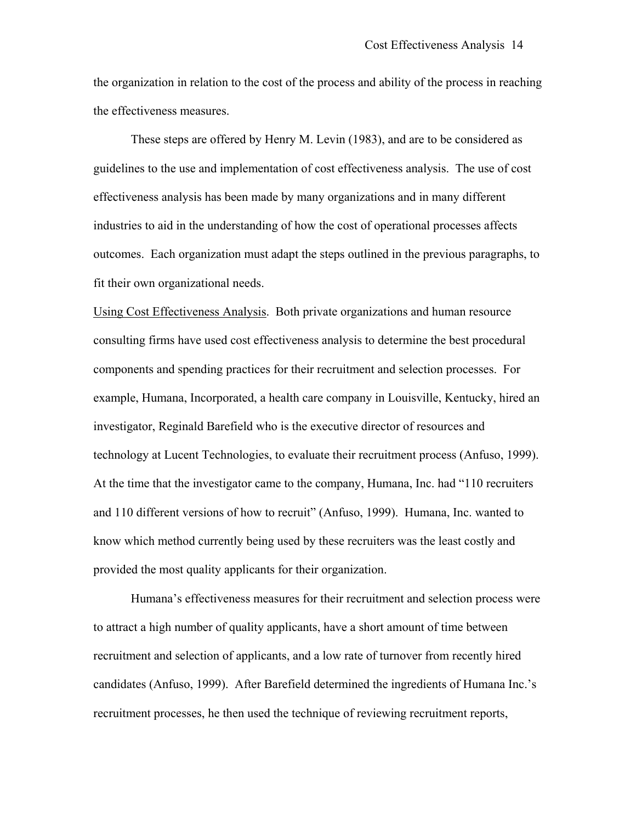the organization in relation to the cost of the process and ability of the process in reaching the effectiveness measures.

These steps are offered by Henry M. Levin (1983), and are to be considered as guidelines to the use and implementation of cost effectiveness analysis. The use of cost effectiveness analysis has been made by many organizations and in many different industries to aid in the understanding of how the cost of operational processes affects outcomes. Each organization must adapt the steps outlined in the previous paragraphs, to fit their own organizational needs.

Using Cost Effectiveness Analysis. Both private organizations and human resource consulting firms have used cost effectiveness analysis to determine the best procedural components and spending practices for their recruitment and selection processes. For example, Humana, Incorporated, a health care company in Louisville, Kentucky, hired an investigator, Reginald Barefield who is the executive director of resources and technology at Lucent Technologies, to evaluate their recruitment process (Anfuso, 1999). At the time that the investigator came to the company, Humana, Inc. had "110 recruiters and 110 different versions of how to recruit" (Anfuso, 1999). Humana, Inc. wanted to know which method currently being used by these recruiters was the least costly and provided the most quality applicants for their organization.

Humana's effectiveness measures for their recruitment and selection process were to attract a high number of quality applicants, have a short amount of time between recruitment and selection of applicants, and a low rate of turnover from recently hired candidates (Anfuso, 1999). After Barefield determined the ingredients of Humana Inc.'s recruitment processes, he then used the technique of reviewing recruitment reports,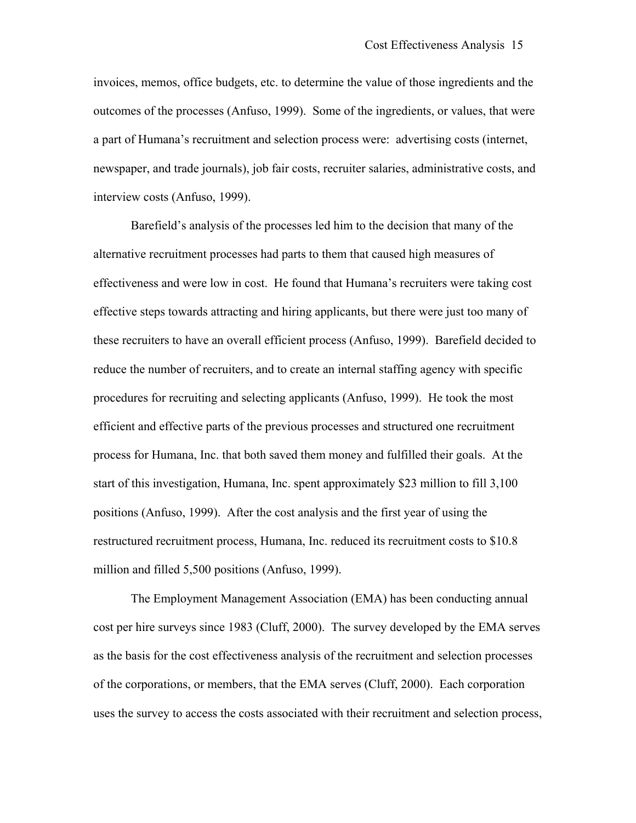invoices, memos, office budgets, etc. to determine the value of those ingredients and the outcomes of the processes (Anfuso, 1999). Some of the ingredients, or values, that were a part of Humana's recruitment and selection process were: advertising costs (internet, newspaper, and trade journals), job fair costs, recruiter salaries, administrative costs, and interview costs (Anfuso, 1999).

Barefield's analysis of the processes led him to the decision that many of the alternative recruitment processes had parts to them that caused high measures of effectiveness and were low in cost. He found that Humana's recruiters were taking cost effective steps towards attracting and hiring applicants, but there were just too many of these recruiters to have an overall efficient process (Anfuso, 1999). Barefield decided to reduce the number of recruiters, and to create an internal staffing agency with specific procedures for recruiting and selecting applicants (Anfuso, 1999). He took the most efficient and effective parts of the previous processes and structured one recruitment process for Humana, Inc. that both saved them money and fulfilled their goals. At the start of this investigation, Humana, Inc. spent approximately \$23 million to fill 3,100 positions (Anfuso, 1999). After the cost analysis and the first year of using the restructured recruitment process, Humana, Inc. reduced its recruitment costs to \$10.8 million and filled 5,500 positions (Anfuso, 1999).

The Employment Management Association (EMA) has been conducting annual cost per hire surveys since 1983 (Cluff, 2000). The survey developed by the EMA serves as the basis for the cost effectiveness analysis of the recruitment and selection processes of the corporations, or members, that the EMA serves (Cluff, 2000). Each corporation uses the survey to access the costs associated with their recruitment and selection process,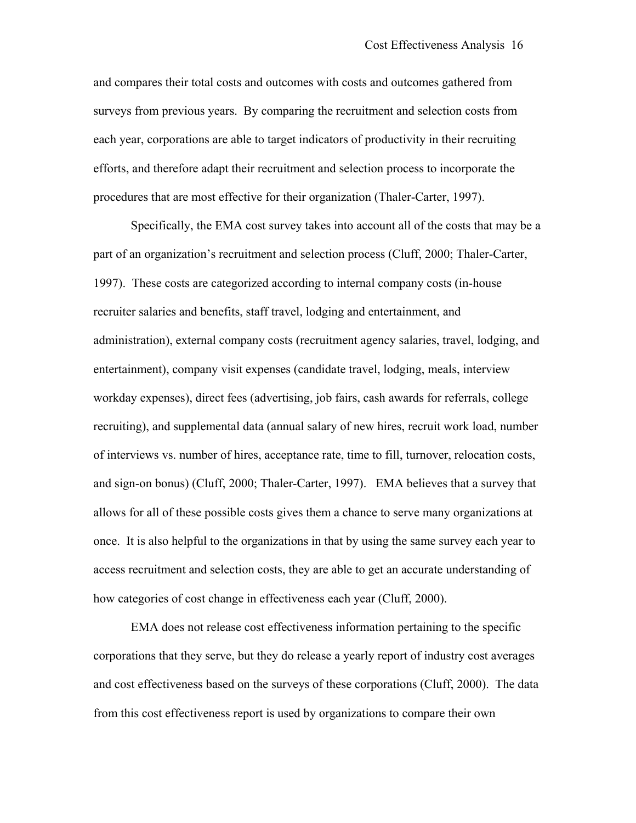and compares their total costs and outcomes with costs and outcomes gathered from surveys from previous years. By comparing the recruitment and selection costs from each year, corporations are able to target indicators of productivity in their recruiting efforts, and therefore adapt their recruitment and selection process to incorporate the procedures that are most effective for their organization (Thaler-Carter, 1997).

Specifically, the EMA cost survey takes into account all of the costs that may be a part of an organization's recruitment and selection process (Cluff, 2000; Thaler-Carter, 1997). These costs are categorized according to internal company costs (in-house recruiter salaries and benefits, staff travel, lodging and entertainment, and administration), external company costs (recruitment agency salaries, travel, lodging, and entertainment), company visit expenses (candidate travel, lodging, meals, interview workday expenses), direct fees (advertising, job fairs, cash awards for referrals, college recruiting), and supplemental data (annual salary of new hires, recruit work load, number of interviews vs. number of hires, acceptance rate, time to fill, turnover, relocation costs, and sign-on bonus) (Cluff, 2000; Thaler-Carter, 1997). EMA believes that a survey that allows for all of these possible costs gives them a chance to serve many organizations at once. It is also helpful to the organizations in that by using the same survey each year to access recruitment and selection costs, they are able to get an accurate understanding of how categories of cost change in effectiveness each year (Cluff, 2000).

EMA does not release cost effectiveness information pertaining to the specific corporations that they serve, but they do release a yearly report of industry cost averages and cost effectiveness based on the surveys of these corporations (Cluff, 2000). The data from this cost effectiveness report is used by organizations to compare their own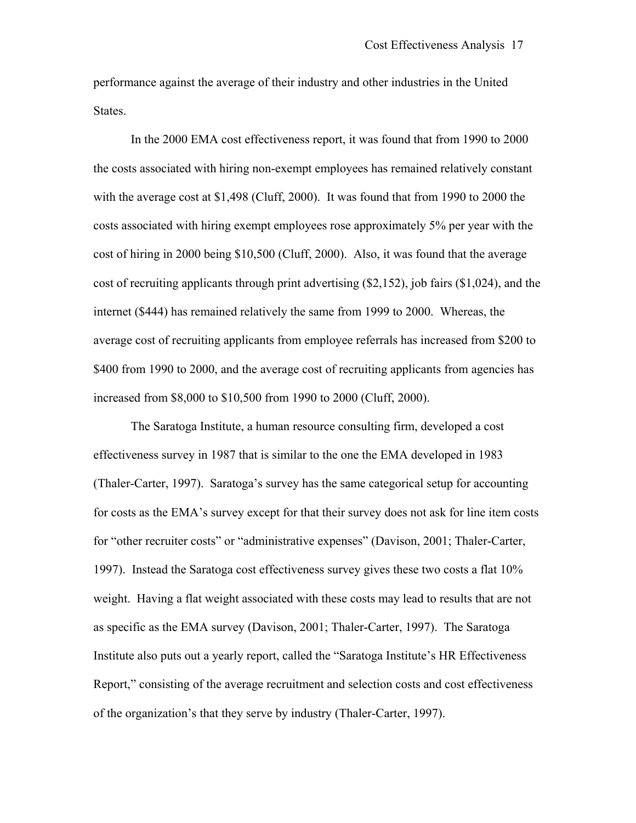performance against the average of their industry and other industries in the United States.

In the 2000 EMA cost effectiveness report, it was found that from 1990 to 2000 the costs associated with hiring non-exempt employees has remained relatively constant with the average cost at \$1,498 (Cluff, 2000). It was found that from 1990 to 2000 the costs associated with hiring exempt employees rose approximately 5% per year with the cost of hiring in 2000 being \$10,500 (Cluff, 2000). Also, it was found that the average cost of recruiting applicants through print advertising (\$2,152), job fairs (\$1,024), and the internet (\$444) has remained relatively the same from 1999 to 2000. Whereas, the average cost of recruiting applicants from employee referrals has increased from \$200 to \$400 from 1990 to 2000, and the average cost of recruiting applicants from agencies has increased from \$8,000 to \$10,500 from 1990 to 2000 (Cluff, 2000).

The Saratoga Institute, a human resource consulting firm, developed a cost effectiveness survey in 1987 that is similar to the one the EMA developed in 1983 (Thaler-Carter, 1997). Saratoga's survey has the same categorical setup for accounting for costs as the EMA's survey except for that their survey does not ask for line item costs for "other recruiter costs" or "administrative expenses" (Davison, 2001; Thaler-Carter, 1997). Instead the Saratoga cost effectiveness survey gives these two costs a flat 10% weight. Having a flat weight associated with these costs may lead to results that are not as specific as the EMA survey (Davison, 2001; Thaler-Carter, 1997). The Saratoga Institute also puts out a yearly report, called the "Saratoga Institute's HR Effectiveness Report," consisting of the average recruitment and selection costs and cost effectiveness of the organization's that they serve by industry (Thaler-Carter, 1997).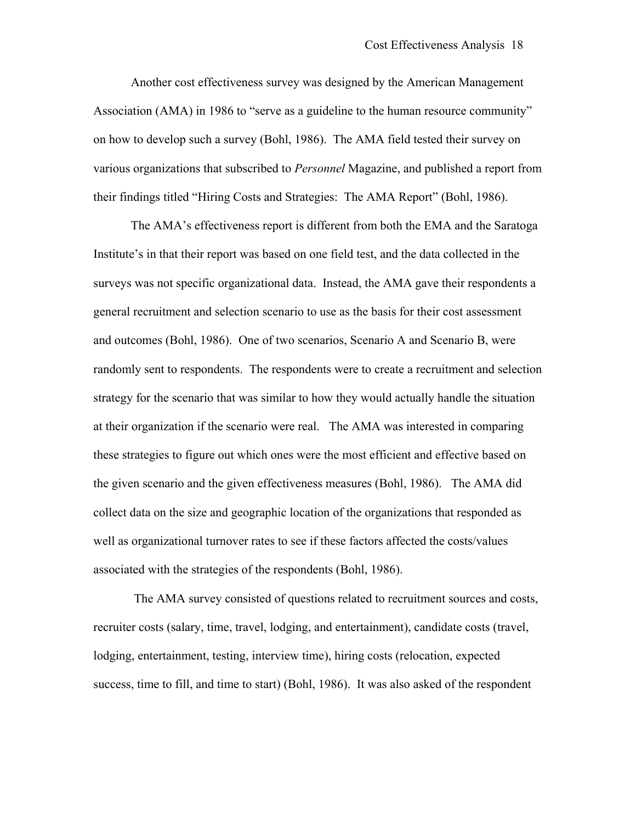Another cost effectiveness survey was designed by the American Management Association (AMA) in 1986 to "serve as a guideline to the human resource community" on how to develop such a survey (Bohl, 1986). The AMA field tested their survey on various organizations that subscribed to *Personnel* Magazine, and published a report from their findings titled "Hiring Costs and Strategies: The AMA Report" (Bohl, 1986).

The AMA's effectiveness report is different from both the EMA and the Saratoga Institute's in that their report was based on one field test, and the data collected in the surveys was not specific organizational data. Instead, the AMA gave their respondents a general recruitment and selection scenario to use as the basis for their cost assessment and outcomes (Bohl, 1986). One of two scenarios, Scenario A and Scenario B, were randomly sent to respondents. The respondents were to create a recruitment and selection strategy for the scenario that was similar to how they would actually handle the situation at their organization if the scenario were real. The AMA was interested in comparing these strategies to figure out which ones were the most efficient and effective based on the given scenario and the given effectiveness measures (Bohl, 1986). The AMA did collect data on the size and geographic location of the organizations that responded as well as organizational turnover rates to see if these factors affected the costs/values associated with the strategies of the respondents (Bohl, 1986).

 The AMA survey consisted of questions related to recruitment sources and costs, recruiter costs (salary, time, travel, lodging, and entertainment), candidate costs (travel, lodging, entertainment, testing, interview time), hiring costs (relocation, expected success, time to fill, and time to start) (Bohl, 1986). It was also asked of the respondent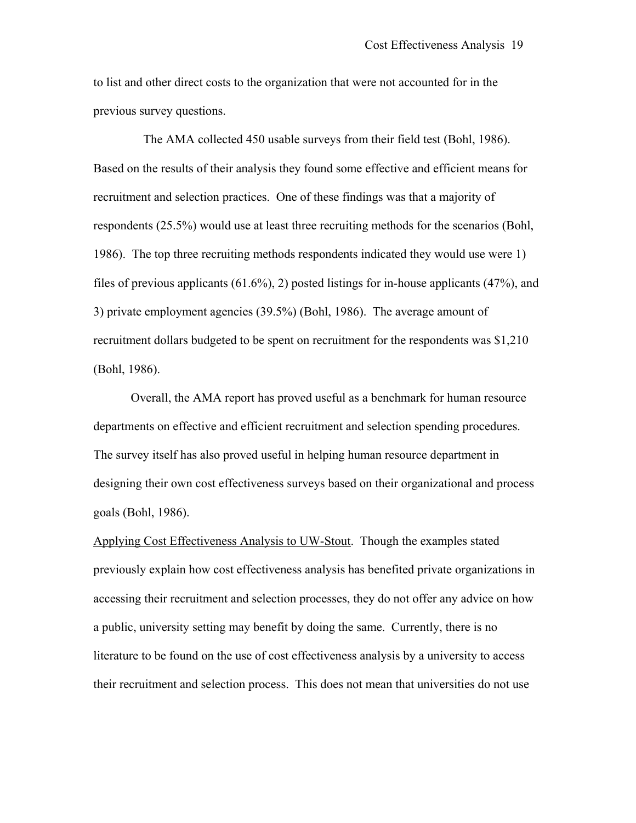to list and other direct costs to the organization that were not accounted for in the previous survey questions.

 The AMA collected 450 usable surveys from their field test (Bohl, 1986). Based on the results of their analysis they found some effective and efficient means for recruitment and selection practices. One of these findings was that a majority of respondents (25.5%) would use at least three recruiting methods for the scenarios (Bohl, 1986). The top three recruiting methods respondents indicated they would use were 1) files of previous applicants (61.6%), 2) posted listings for in-house applicants (47%), and 3) private employment agencies (39.5%) (Bohl, 1986). The average amount of recruitment dollars budgeted to be spent on recruitment for the respondents was \$1,210 (Bohl, 1986).

Overall, the AMA report has proved useful as a benchmark for human resource departments on effective and efficient recruitment and selection spending procedures. The survey itself has also proved useful in helping human resource department in designing their own cost effectiveness surveys based on their organizational and process goals (Bohl, 1986).

Applying Cost Effectiveness Analysis to UW-Stout. Though the examples stated previously explain how cost effectiveness analysis has benefited private organizations in accessing their recruitment and selection processes, they do not offer any advice on how a public, university setting may benefit by doing the same. Currently, there is no literature to be found on the use of cost effectiveness analysis by a university to access their recruitment and selection process. This does not mean that universities do not use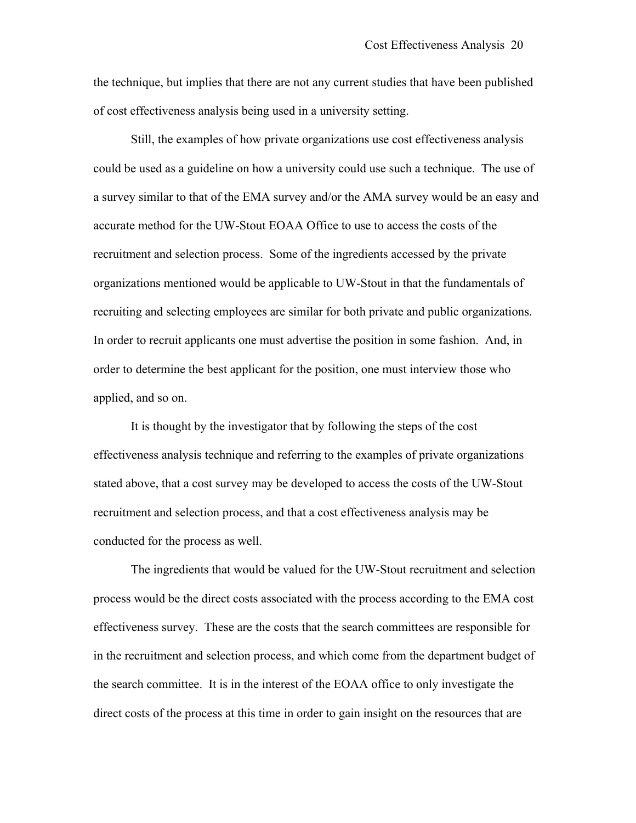the technique, but implies that there are not any current studies that have been published of cost effectiveness analysis being used in a university setting.

Still, the examples of how private organizations use cost effectiveness analysis could be used as a guideline on how a university could use such a technique. The use of a survey similar to that of the EMA survey and/or the AMA survey would be an easy and accurate method for the UW-Stout EOAA Office to use to access the costs of the recruitment and selection process. Some of the ingredients accessed by the private organizations mentioned would be applicable to UW-Stout in that the fundamentals of recruiting and selecting employees are similar for both private and public organizations. In order to recruit applicants one must advertise the position in some fashion. And, in order to determine the best applicant for the position, one must interview those who applied, and so on.

It is thought by the investigator that by following the steps of the cost effectiveness analysis technique and referring to the examples of private organizations stated above, that a cost survey may be developed to access the costs of the UW-Stout recruitment and selection process, and that a cost effectiveness analysis may be conducted for the process as well.

The ingredients that would be valued for the UW-Stout recruitment and selection process would be the direct costs associated with the process according to the EMA cost effectiveness survey. These are the costs that the search committees are responsible for in the recruitment and selection process, and which come from the department budget of the search committee. It is in the interest of the EOAA office to only investigate the direct costs of the process at this time in order to gain insight on the resources that are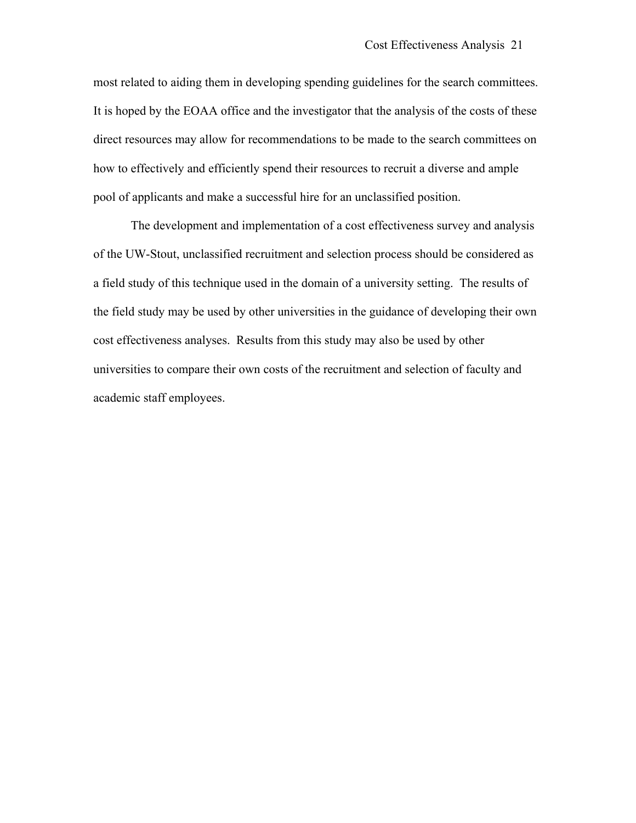most related to aiding them in developing spending guidelines for the search committees. It is hoped by the EOAA office and the investigator that the analysis of the costs of these direct resources may allow for recommendations to be made to the search committees on how to effectively and efficiently spend their resources to recruit a diverse and ample pool of applicants and make a successful hire for an unclassified position.

The development and implementation of a cost effectiveness survey and analysis of the UW-Stout, unclassified recruitment and selection process should be considered as a field study of this technique used in the domain of a university setting. The results of the field study may be used by other universities in the guidance of developing their own cost effectiveness analyses. Results from this study may also be used by other universities to compare their own costs of the recruitment and selection of faculty and academic staff employees.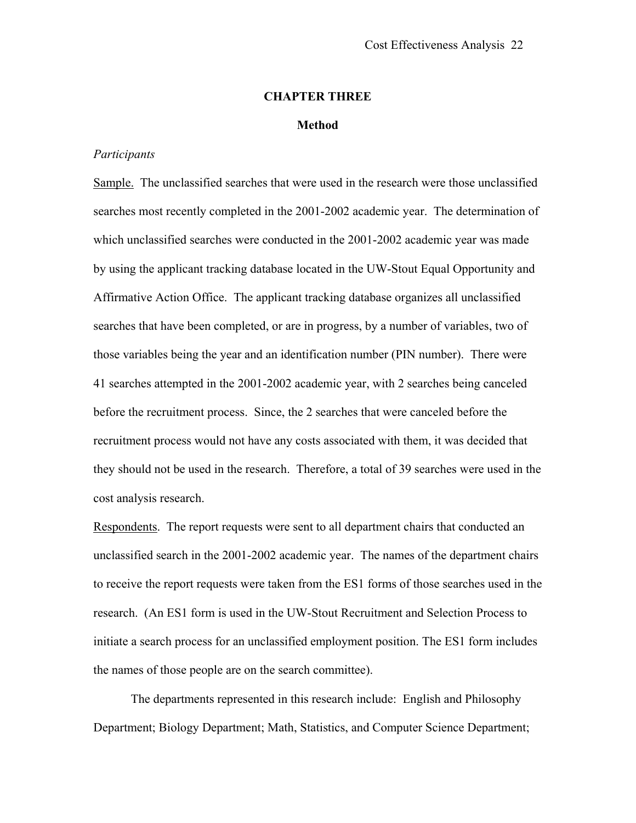#### **CHAPTER THREE**

#### **Method**

#### <span id="page-27-0"></span>*Participants*

Sample. The unclassified searches that were used in the research were those unclassified searches most recently completed in the 2001-2002 academic year. The determination of which unclassified searches were conducted in the 2001-2002 academic year was made by using the applicant tracking database located in the UW-Stout Equal Opportunity and Affirmative Action Office. The applicant tracking database organizes all unclassified searches that have been completed, or are in progress, by a number of variables, two of those variables being the year and an identification number (PIN number). There were 41 searches attempted in the 2001-2002 academic year, with 2 searches being canceled before the recruitment process. Since, the 2 searches that were canceled before the recruitment process would not have any costs associated with them, it was decided that they should not be used in the research. Therefore, a total of 39 searches were used in the cost analysis research.

Respondents. The report requests were sent to all department chairs that conducted an unclassified search in the 2001-2002 academic year. The names of the department chairs to receive the report requests were taken from the ES1 forms of those searches used in the research. (An ES1 form is used in the UW-Stout Recruitment and Selection Process to initiate a search process for an unclassified employment position. The ES1 form includes the names of those people are on the search committee).

The departments represented in this research include: English and Philosophy Department; Biology Department; Math, Statistics, and Computer Science Department;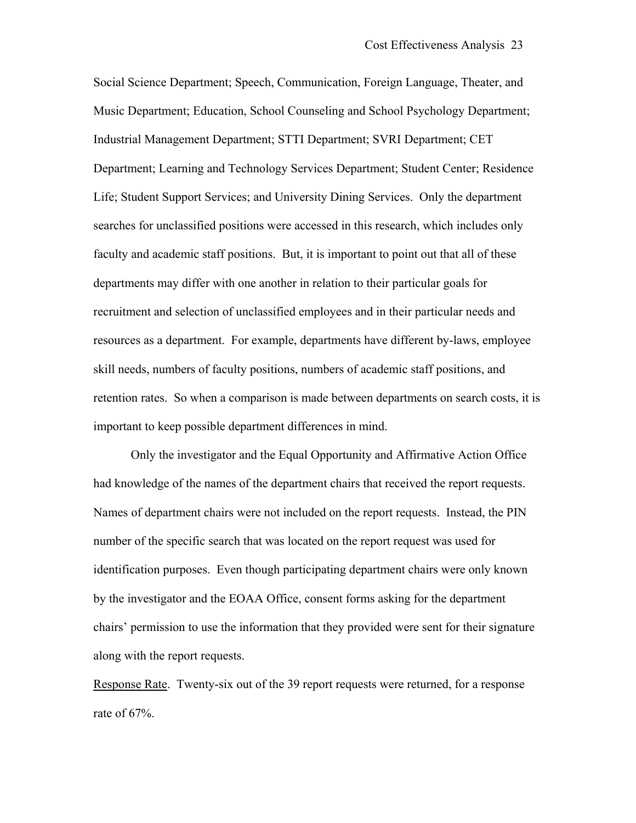Social Science Department; Speech, Communication, Foreign Language, Theater, and Music Department; Education, School Counseling and School Psychology Department; Industrial Management Department; STTI Department; SVRI Department; CET Department; Learning and Technology Services Department; Student Center; Residence Life; Student Support Services; and University Dining Services. Only the department searches for unclassified positions were accessed in this research, which includes only faculty and academic staff positions. But, it is important to point out that all of these departments may differ with one another in relation to their particular goals for recruitment and selection of unclassified employees and in their particular needs and resources as a department. For example, departments have different by-laws, employee skill needs, numbers of faculty positions, numbers of academic staff positions, and retention rates. So when a comparison is made between departments on search costs, it is important to keep possible department differences in mind.

Only the investigator and the Equal Opportunity and Affirmative Action Office had knowledge of the names of the department chairs that received the report requests. Names of department chairs were not included on the report requests. Instead, the PIN number of the specific search that was located on the report request was used for identification purposes. Even though participating department chairs were only known by the investigator and the EOAA Office, consent forms asking for the department chairs' permission to use the information that they provided were sent for their signature along with the report requests.

Response Rate. Twenty-six out of the 39 report requests were returned, for a response rate of 67%.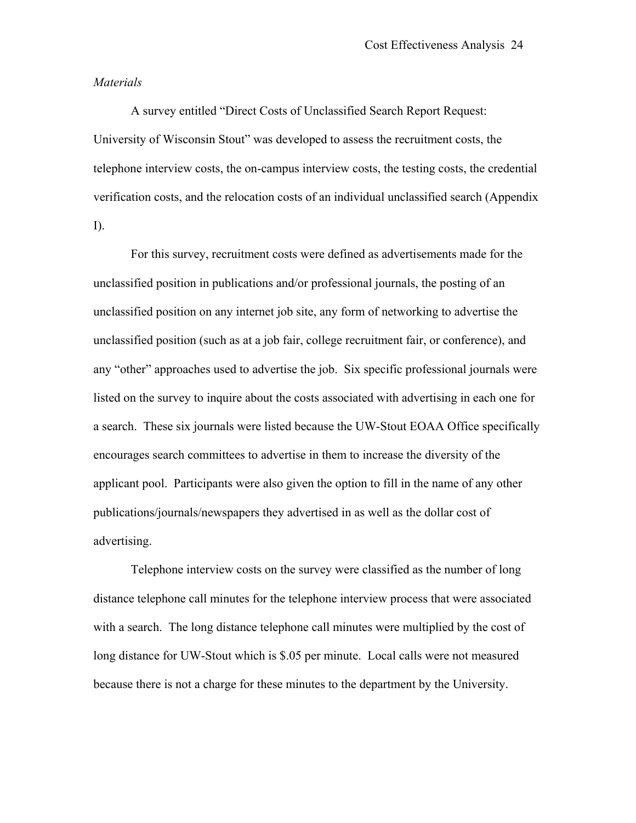#### *Materials*

A survey entitled "Direct Costs of Unclassified Search Report Request: University of Wisconsin Stout" was developed to assess the recruitment costs, the telephone interview costs, the on-campus interview costs, the testing costs, the credential verification costs, and the relocation costs of an individual unclassified search (Appendix I).

For this survey, recruitment costs were defined as advertisements made for the unclassified position in publications and/or professional journals, the posting of an unclassified position on any internet job site, any form of networking to advertise the unclassified position (such as at a job fair, college recruitment fair, or conference), and any "other" approaches used to advertise the job. Six specific professional journals were listed on the survey to inquire about the costs associated with advertising in each one for a search. These six journals were listed because the UW-Stout EOAA Office specifically encourages search committees to advertise in them to increase the diversity of the applicant pool. Participants were also given the option to fill in the name of any other publications/journals/newspapers they advertised in as well as the dollar cost of advertising.

Telephone interview costs on the survey were classified as the number of long distance telephone call minutes for the telephone interview process that were associated with a search. The long distance telephone call minutes were multiplied by the cost of long distance for UW-Stout which is \$.05 per minute. Local calls were not measured because there is not a charge for these minutes to the department by the University.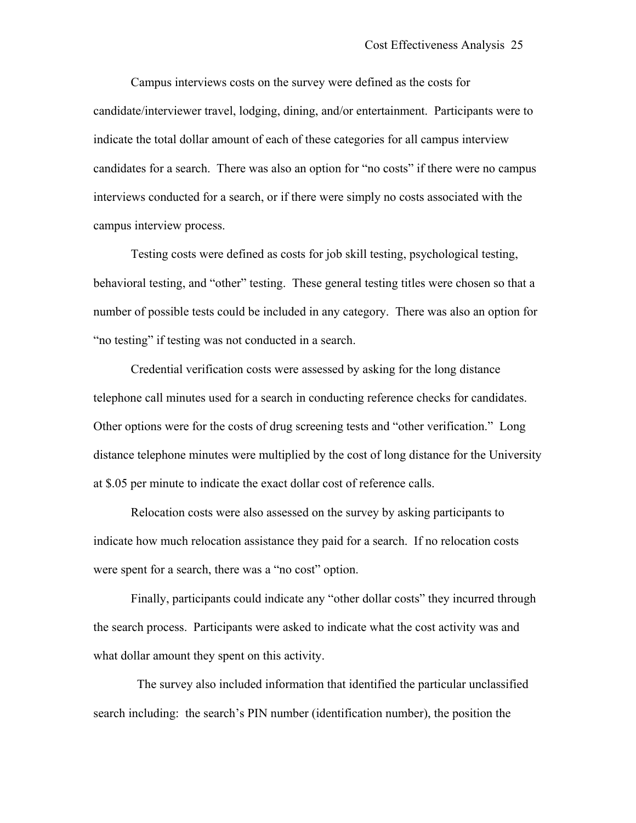Campus interviews costs on the survey were defined as the costs for candidate/interviewer travel, lodging, dining, and/or entertainment. Participants were to indicate the total dollar amount of each of these categories for all campus interview candidates for a search. There was also an option for "no costs" if there were no campus interviews conducted for a search, or if there were simply no costs associated with the campus interview process.

Testing costs were defined as costs for job skill testing, psychological testing, behavioral testing, and "other" testing. These general testing titles were chosen so that a number of possible tests could be included in any category. There was also an option for "no testing" if testing was not conducted in a search.

Credential verification costs were assessed by asking for the long distance telephone call minutes used for a search in conducting reference checks for candidates. Other options were for the costs of drug screening tests and "other verification." Long distance telephone minutes were multiplied by the cost of long distance for the University at \$.05 per minute to indicate the exact dollar cost of reference calls.

Relocation costs were also assessed on the survey by asking participants to indicate how much relocation assistance they paid for a search. If no relocation costs were spent for a search, there was a "no cost" option.

Finally, participants could indicate any "other dollar costs" they incurred through the search process. Participants were asked to indicate what the cost activity was and what dollar amount they spent on this activity.

 The survey also included information that identified the particular unclassified search including: the search's PIN number (identification number), the position the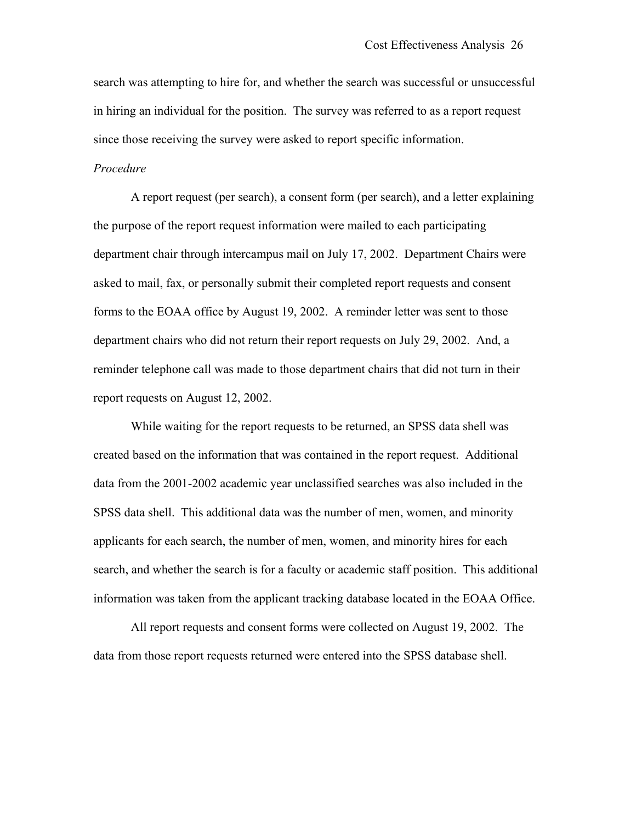search was attempting to hire for, and whether the search was successful or unsuccessful in hiring an individual for the position. The survey was referred to as a report request since those receiving the survey were asked to report specific information.

#### *Procedure*

A report request (per search), a consent form (per search), and a letter explaining the purpose of the report request information were mailed to each participating department chair through intercampus mail on July 17, 2002. Department Chairs were asked to mail, fax, or personally submit their completed report requests and consent forms to the EOAA office by August 19, 2002. A reminder letter was sent to those department chairs who did not return their report requests on July 29, 2002. And, a reminder telephone call was made to those department chairs that did not turn in their report requests on August 12, 2002.

While waiting for the report requests to be returned, an SPSS data shell was created based on the information that was contained in the report request. Additional data from the 2001-2002 academic year unclassified searches was also included in the SPSS data shell. This additional data was the number of men, women, and minority applicants for each search, the number of men, women, and minority hires for each search, and whether the search is for a faculty or academic staff position. This additional information was taken from the applicant tracking database located in the EOAA Office.

All report requests and consent forms were collected on August 19, 2002. The data from those report requests returned were entered into the SPSS database shell.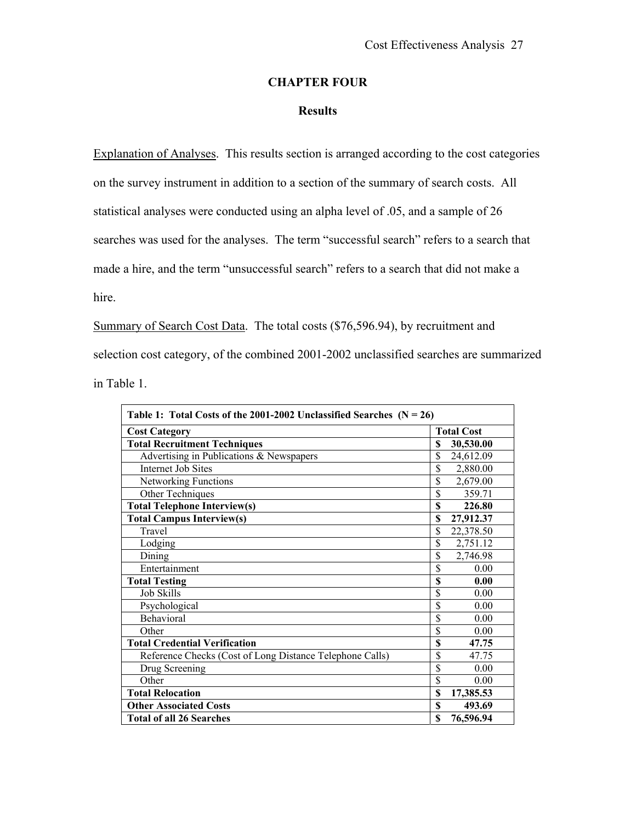# **CHAPTER FOUR**

#### **Results**

<span id="page-32-0"></span>Explanation of Analyses. This results section is arranged according to the cost categories on the survey instrument in addition to a section of the summary of search costs. All statistical analyses were conducted using an alpha level of .05, and a sample of 26 searches was used for the analyses. The term "successful search" refers to a search that made a hire, and the term "unsuccessful search" refers to a search that did not make a hire.

Summary of Search Cost Data. The total costs (\$76,596.94), by recruitment and selection cost category, of the combined 2001-2002 unclassified searches are summarized in Table 1.

| Table 1: Total Costs of the 2001-2002 Unclassified Searches $(N = 26)$ |                         |                   |  |  |
|------------------------------------------------------------------------|-------------------------|-------------------|--|--|
| <b>Cost Category</b>                                                   |                         | <b>Total Cost</b> |  |  |
| <b>Total Recruitment Techniques</b>                                    | \$                      | 30,530.00         |  |  |
| Advertising in Publications & Newspapers                               | \$                      | 24,612.09         |  |  |
| Internet Job Sites                                                     | \$                      | 2,880.00          |  |  |
| Networking Functions                                                   | \$                      | 2,679.00          |  |  |
| Other Techniques                                                       | $\overline{\mathbb{S}}$ | 359.71            |  |  |
| <b>Total Telephone Interview(s)</b>                                    | \$                      | 226.80            |  |  |
| <b>Total Campus Interview(s)</b>                                       | \$                      | 27,912.37         |  |  |
| Travel                                                                 | \$                      | 22,378.50         |  |  |
| Lodging                                                                | \$                      | 2,751.12          |  |  |
| Dining                                                                 | \$                      | 2,746.98          |  |  |
| Entertainment                                                          | \$                      | 0.00              |  |  |
| <b>Total Testing</b>                                                   | \$                      | 0.00              |  |  |
| <b>Job Skills</b>                                                      | \$                      | 0.00              |  |  |
| Psychological                                                          | \$                      | 0.00              |  |  |
| Behavioral                                                             | \$                      | 0.00              |  |  |
| Other                                                                  | \$                      | 0.00              |  |  |
| <b>Total Credential Verification</b>                                   | \$                      | 47.75             |  |  |
| Reference Checks (Cost of Long Distance Telephone Calls)               | \$                      | 47.75             |  |  |
| Drug Screening                                                         | \$                      | 0.00              |  |  |
| Other                                                                  | \$                      | 0.00              |  |  |
| <b>Total Relocation</b>                                                | \$                      | 17,385.53         |  |  |
| <b>Other Associated Costs</b>                                          | \$                      | 493.69            |  |  |
| <b>Total of all 26 Searches</b>                                        | \$                      | 76,596.94         |  |  |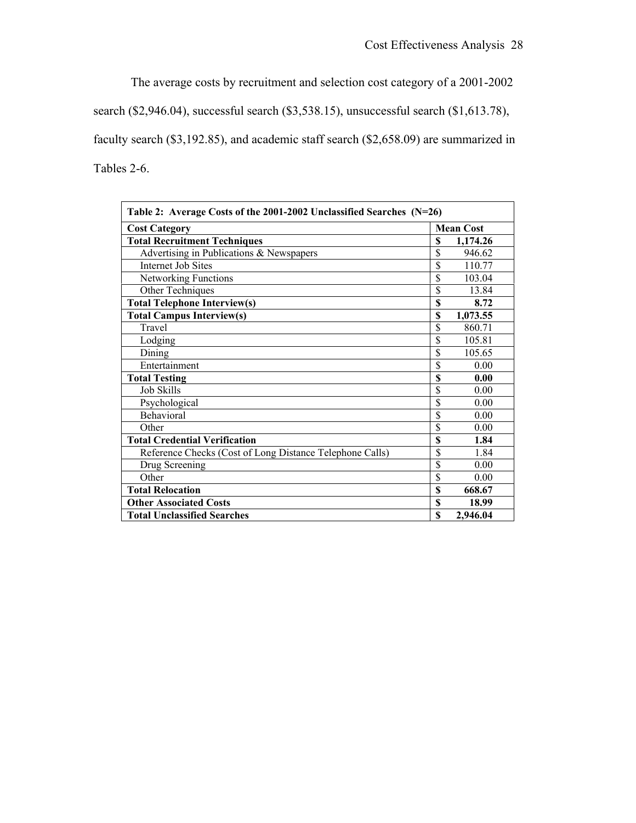The average costs by recruitment and selection cost category of a 2001-2002

search (\$2,946.04), successful search (\$3,538.15), unsuccessful search (\$1,613.78),

faculty search (\$3,192.85), and academic staff search (\$2,658.09) are summarized in Tables 2-6.

| Table 2: Average Costs of the 2001-2002 Unclassified Searches (N=26) |             |                  |  |  |
|----------------------------------------------------------------------|-------------|------------------|--|--|
| <b>Cost Category</b>                                                 |             | <b>Mean Cost</b> |  |  |
| <b>Total Recruitment Techniques</b>                                  | \$          | 1,174.26         |  |  |
| Advertising in Publications & Newspapers                             | \$          | 946.62           |  |  |
| <b>Internet Job Sites</b>                                            | \$          | 110.77           |  |  |
| Networking Functions                                                 | \$          | 103.04           |  |  |
| Other Techniques                                                     | \$          | 13.84            |  |  |
| <b>Total Telephone Interview(s)</b>                                  | \$          | 8.72             |  |  |
| <b>Total Campus Interview(s)</b>                                     | \$          | 1,073.55         |  |  |
| Travel                                                               | \$          | 860.71           |  |  |
| Lodging                                                              | \$          | 105.81           |  |  |
| Dining                                                               | \$          | 105.65           |  |  |
| Entertainment                                                        | \$          | 0.00             |  |  |
| <b>Total Testing</b>                                                 | \$          | 0.00             |  |  |
| <b>Job Skills</b>                                                    | \$          | 0.00             |  |  |
| Psychological                                                        | \$          | 0.00             |  |  |
| Behavioral                                                           | \$          | 0.00             |  |  |
| Other                                                                | \$          | 0.00             |  |  |
| <b>Total Credential Verification</b>                                 | \$          | 1.84             |  |  |
| Reference Checks (Cost of Long Distance Telephone Calls)             | \$          | 1.84             |  |  |
| Drug Screening                                                       | \$          | 0.00             |  |  |
| Other                                                                | \$          | 0.00             |  |  |
| <b>Total Relocation</b>                                              | S           | 668.67           |  |  |
| <b>Other Associated Costs</b>                                        | \$          | 18.99            |  |  |
| <b>Total Unclassified Searches</b>                                   | $\mathbf S$ | 2,946.04         |  |  |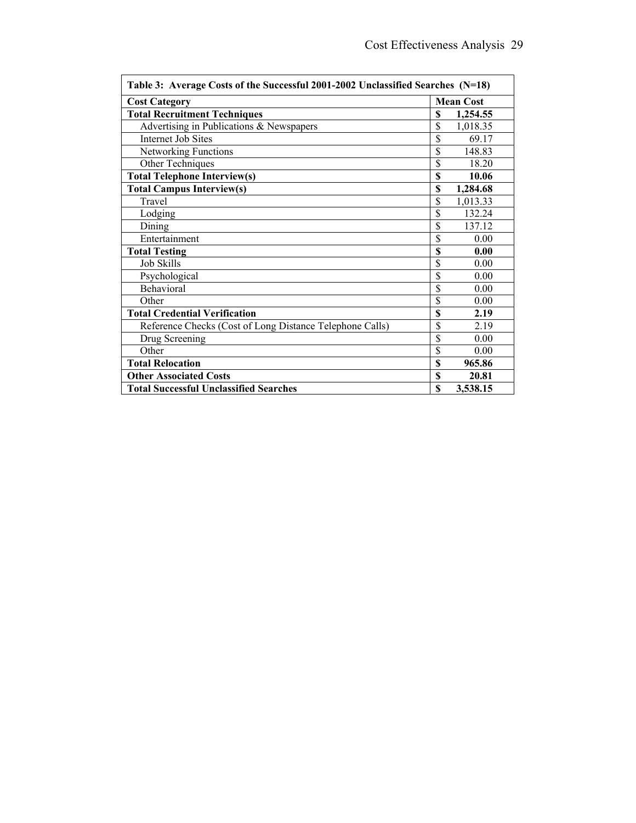| Table 3: Average Costs of the Successful 2001-2002 Unclassified Searches (N=18) |                         |                  |  |  |
|---------------------------------------------------------------------------------|-------------------------|------------------|--|--|
| <b>Cost Category</b>                                                            |                         | <b>Mean Cost</b> |  |  |
| <b>Total Recruitment Techniques</b>                                             | \$                      | 1,254.55         |  |  |
| Advertising in Publications & Newspapers                                        | \$                      | 1,018.35         |  |  |
| <b>Internet Job Sites</b>                                                       | \$                      | 69.17            |  |  |
| Networking Functions                                                            | \$                      | 148.83           |  |  |
| Other Techniques                                                                | \$                      | 18.20            |  |  |
| <b>Total Telephone Interview(s)</b>                                             | \$                      | 10.06            |  |  |
| <b>Total Campus Interview(s)</b>                                                | \$                      | 1,284.68         |  |  |
| Travel                                                                          | $\overline{\mathbb{S}}$ | 1,013.33         |  |  |
| Lodging                                                                         | \$                      | 132.24           |  |  |
| Dining                                                                          | \$                      | 137.12           |  |  |
| Entertainment                                                                   | \$                      | 0.00             |  |  |
| <b>Total Testing</b>                                                            | \$                      | 0.00             |  |  |
| <b>Job Skills</b>                                                               | \$                      | 0.00             |  |  |
| Psychological                                                                   | \$                      | 0.00             |  |  |
| Behavioral                                                                      | \$                      | 0.00             |  |  |
| Other                                                                           | \$                      | 0.00             |  |  |
| <b>Total Credential Verification</b>                                            | \$                      | 2.19             |  |  |
| Reference Checks (Cost of Long Distance Telephone Calls)                        | \$                      | 2.19             |  |  |
| Drug Screening                                                                  | \$                      | 0.00             |  |  |
| Other                                                                           | \$                      | 0.00             |  |  |
| <b>Total Relocation</b>                                                         |                         | 965.86           |  |  |
| <b>Other Associated Costs</b>                                                   | \$                      | 20.81            |  |  |
| <b>Total Successful Unclassified Searches</b>                                   | \$                      | 3,538.15         |  |  |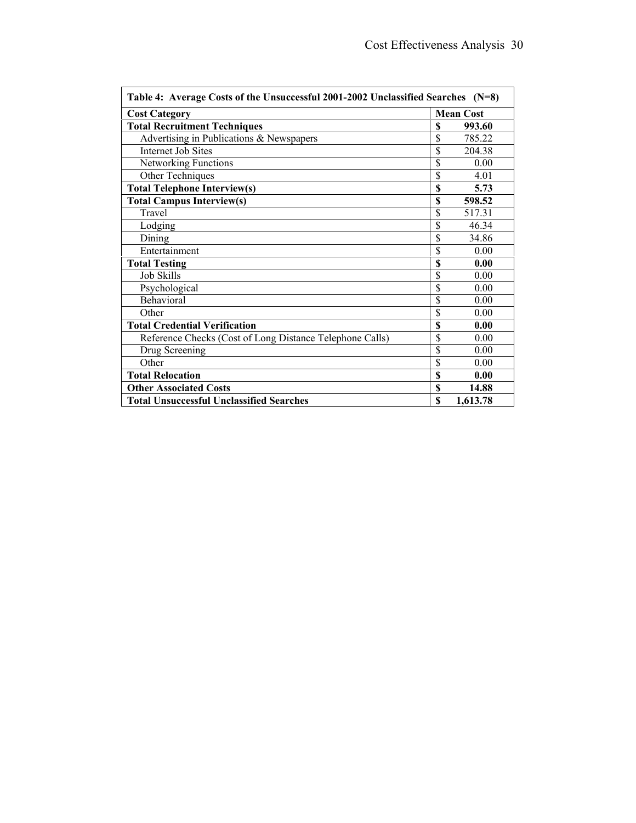| Table 4: Average Costs of the Unsuccessful 2001-2002 Unclassified Searches (N=8) |    |                  |  |  |
|----------------------------------------------------------------------------------|----|------------------|--|--|
| <b>Cost Category</b>                                                             |    | <b>Mean Cost</b> |  |  |
| <b>Total Recruitment Techniques</b>                                              | \$ | 993.60           |  |  |
| Advertising in Publications & Newspapers                                         | \$ | 785.22           |  |  |
| Internet Job Sites                                                               | \$ | 204.38           |  |  |
| Networking Functions                                                             | \$ | 0.00             |  |  |
| Other Techniques                                                                 | \$ | 4.01             |  |  |
| <b>Total Telephone Interview(s)</b>                                              | \$ | 5.73             |  |  |
| <b>Total Campus Interview(s)</b>                                                 | \$ | 598.52           |  |  |
| Travel                                                                           | \$ | 517.31           |  |  |
| Lodging                                                                          | \$ | 46.34            |  |  |
| Dining                                                                           | \$ | 34.86            |  |  |
| Entertainment                                                                    | \$ | 0.00             |  |  |
| <b>Total Testing</b>                                                             | \$ | 0.00             |  |  |
| <b>Job Skills</b>                                                                | \$ | 0.00             |  |  |
| Psychological                                                                    | \$ | 0.00             |  |  |
| Behavioral                                                                       | \$ | 0.00             |  |  |
| Other                                                                            | \$ | 0.00             |  |  |
| <b>Total Credential Verification</b>                                             | \$ | 0.00             |  |  |
| Reference Checks (Cost of Long Distance Telephone Calls)                         | \$ | 0.00             |  |  |
| Drug Screening                                                                   | \$ | 0.00             |  |  |
| Other                                                                            | \$ | 0.00             |  |  |
| <b>Total Relocation</b>                                                          |    | 0.00             |  |  |
| <b>Other Associated Costs</b>                                                    | \$ | 14.88            |  |  |
| <b>Total Unsuccessful Unclassified Searches</b>                                  | \$ | 1,613.78         |  |  |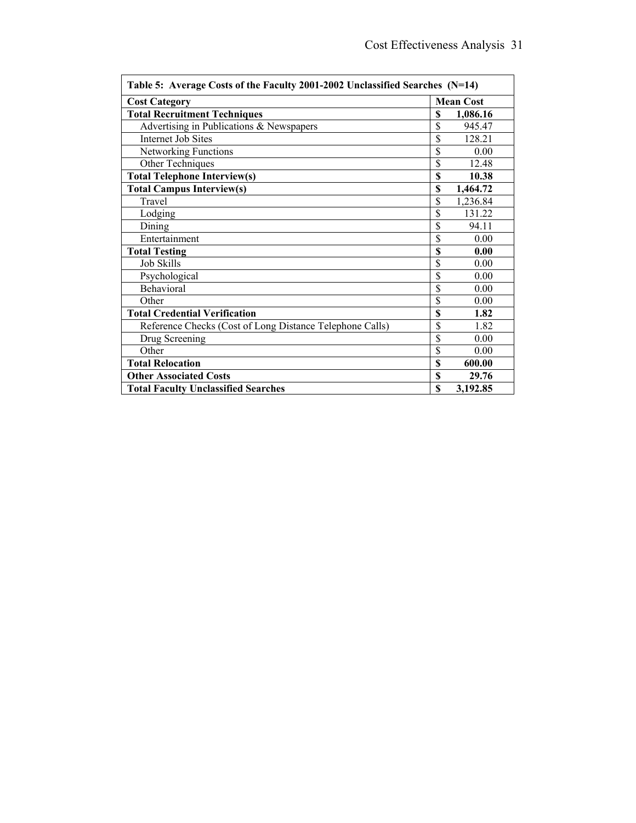| Table 5: Average Costs of the Faculty 2001-2002 Unclassified Searches (N=14) |                 |                  |  |  |
|------------------------------------------------------------------------------|-----------------|------------------|--|--|
| <b>Cost Category</b>                                                         |                 | <b>Mean Cost</b> |  |  |
| <b>Total Recruitment Techniques</b>                                          | \$              | 1,086.16         |  |  |
| Advertising in Publications & Newspapers                                     | \$              | 945.47           |  |  |
| <b>Internet Job Sites</b>                                                    | \$              | 128.21           |  |  |
| Networking Functions                                                         | \$              | 0.00             |  |  |
| Other Techniques                                                             | \$              | 12.48            |  |  |
| <b>Total Telephone Interview(s)</b>                                          | \$              | 10.38            |  |  |
| <b>Total Campus Interview(s)</b>                                             | \$              | 1,464.72         |  |  |
| Travel                                                                       | \$              | 1,236.84         |  |  |
| Lodging                                                                      | $\overline{\$}$ | 131.22           |  |  |
| Dining                                                                       | \$              | 94.11            |  |  |
| Entertainment                                                                | \$              | 0.00             |  |  |
| <b>Total Testing</b>                                                         | \$              | 0.00             |  |  |
| <b>Job Skills</b>                                                            | \$              | 0.00             |  |  |
| Psychological                                                                | \$              | 0.00             |  |  |
| Behavioral                                                                   | \$              | 0.00             |  |  |
| Other                                                                        | \$              | 0.00             |  |  |
| <b>Total Credential Verification</b>                                         | \$              | 1.82             |  |  |
| Reference Checks (Cost of Long Distance Telephone Calls)                     | \$              | 1.82             |  |  |
| Drug Screening                                                               | \$              | 0.00             |  |  |
| Other                                                                        | \$              | 0.00             |  |  |
| <b>Total Relocation</b>                                                      |                 | 600.00           |  |  |
| <b>Other Associated Costs</b>                                                | \$              | 29.76            |  |  |
| <b>Total Faculty Unclassified Searches</b>                                   | \$              | 3,192.85         |  |  |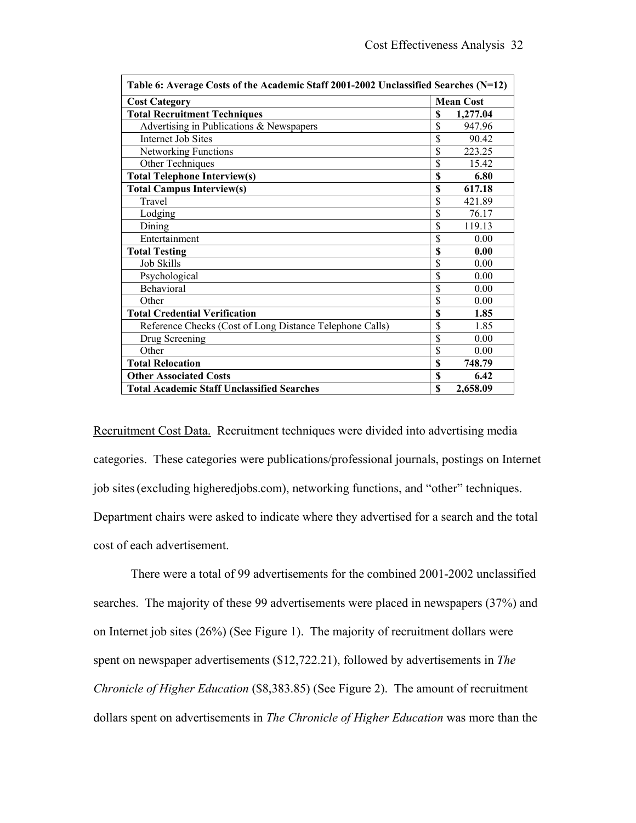| Table 6: Average Costs of the Academic Staff 2001-2002 Unclassified Searches (N=12) |    |                  |  |  |
|-------------------------------------------------------------------------------------|----|------------------|--|--|
| <b>Cost Category</b>                                                                |    | <b>Mean Cost</b> |  |  |
| <b>Total Recruitment Techniques</b>                                                 | \$ | 1,277.04         |  |  |
| Advertising in Publications & Newspapers                                            | \$ | 947.96           |  |  |
| Internet Job Sites                                                                  | \$ | 90.42            |  |  |
| <b>Networking Functions</b>                                                         | \$ | 223.25           |  |  |
| Other Techniques                                                                    | \$ | 15.42            |  |  |
| <b>Total Telephone Interview(s)</b>                                                 | \$ | 6.80             |  |  |
| <b>Total Campus Interview(s)</b>                                                    | \$ | 617.18           |  |  |
| Travel                                                                              | \$ | 421.89           |  |  |
| Lodging                                                                             | \$ | 76.17            |  |  |
| Dining                                                                              | \$ | 119.13           |  |  |
| Entertainment                                                                       | \$ | 0.00             |  |  |
| <b>Total Testing</b>                                                                | \$ | 0.00             |  |  |
| <b>Job Skills</b>                                                                   | \$ | 0.00             |  |  |
| Psychological                                                                       | \$ | 0.00             |  |  |
| Behavioral                                                                          | \$ | 0.00             |  |  |
| Other                                                                               | \$ | 0.00             |  |  |
| <b>Total Credential Verification</b>                                                | \$ | 1.85             |  |  |
| Reference Checks (Cost of Long Distance Telephone Calls)                            | \$ | 1.85             |  |  |
| Drug Screening                                                                      | \$ | 0.00             |  |  |
| Other                                                                               | \$ | 0.00             |  |  |
| <b>Total Relocation</b>                                                             |    | 748.79           |  |  |
| <b>Other Associated Costs</b>                                                       | \$ | 6.42             |  |  |
| <b>Total Academic Staff Unclassified Searches</b>                                   | \$ | 2,658.09         |  |  |

Recruitment Cost Data. Recruitment techniques were divided into advertising media categories. These categories were publications/professional journals, postings on Internet job sites(excluding higheredjobs.com), networking functions, and "other" techniques. Department chairs were asked to indicate where they advertised for a search and the total cost of each advertisement.

There were a total of 99 advertisements for the combined 2001-2002 unclassified searches. The majority of these 99 advertisements were placed in newspapers (37%) and on Internet job sites (26%) (See Figure 1). The majority of recruitment dollars were spent on newspaper advertisements (\$12,722.21), followed by advertisements in *The Chronicle of Higher Education* (\$8,383.85) (See Figure 2). The amount of recruitment dollars spent on advertisements in *The Chronicle of Higher Education* was more than the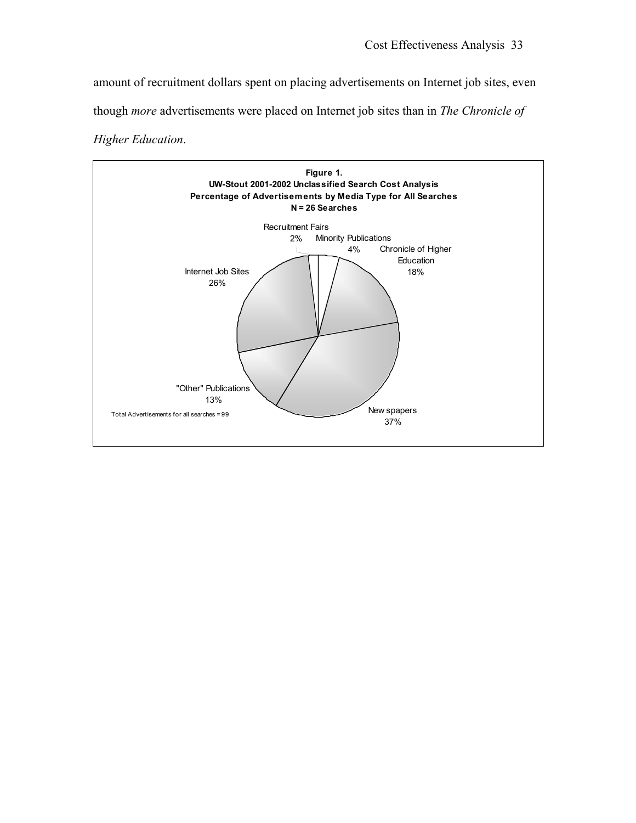amount of recruitment dollars spent on placing advertisements on Internet job sites, even though *more* advertisements were placed on Internet job sites than in *The Chronicle of*

*Higher Education*.

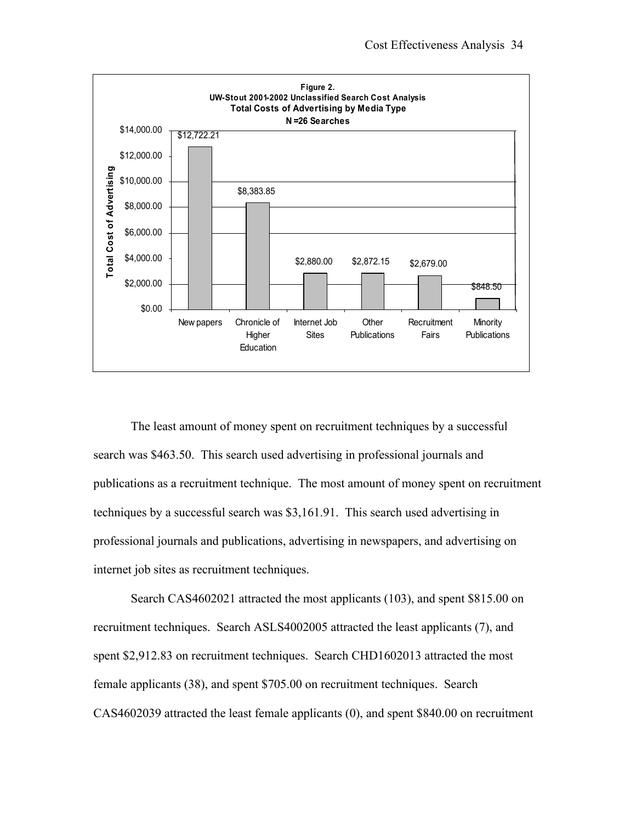

The least amount of money spent on recruitment techniques by a successful search was \$463.50. This search used advertising in professional journals and publications as a recruitment technique. The most amount of money spent on recruitment techniques by a successful search was \$3,161.91. This search used advertising in professional journals and publications, advertising in newspapers, and advertising on internet job sites as recruitment techniques.

Search CAS4602021 attracted the most applicants (103), and spent \$815.00 on recruitment techniques. Search ASLS4002005 attracted the least applicants (7), and spent \$2,912.83 on recruitment techniques. Search CHD1602013 attracted the most female applicants (38), and spent \$705.00 on recruitment techniques. Search CAS4602039 attracted the least female applicants (0), and spent \$840.00 on recruitment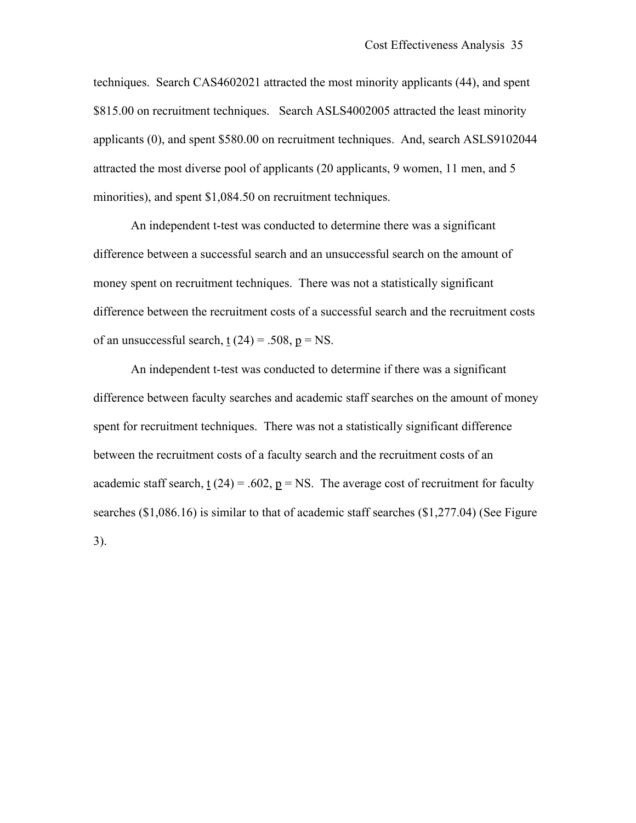techniques. Search CAS4602021 attracted the most minority applicants (44), and spent \$815.00 on recruitment techniques. Search ASLS4002005 attracted the least minority applicants (0), and spent \$580.00 on recruitment techniques. And, search ASLS9102044 attracted the most diverse pool of applicants (20 applicants, 9 women, 11 men, and 5 minorities), and spent \$1,084.50 on recruitment techniques.

An independent t-test was conducted to determine there was a significant difference between a successful search and an unsuccessful search on the amount of money spent on recruitment techniques. There was not a statistically significant difference between the recruitment costs of a successful search and the recruitment costs of an unsuccessful search,  $t(24) = .508$ ,  $p = NS$ .

An independent t-test was conducted to determine if there was a significant difference between faculty searches and academic staff searches on the amount of money spent for recruitment techniques. There was not a statistically significant difference between the recruitment costs of a faculty search and the recruitment costs of an academic staff search,  $\underline{t}(24) = .602$ ,  $\underline{p} = NS$ . The average cost of recruitment for faculty searches (\$1,086.16) is similar to that of academic staff searches (\$1,277.04) (See Figure 3).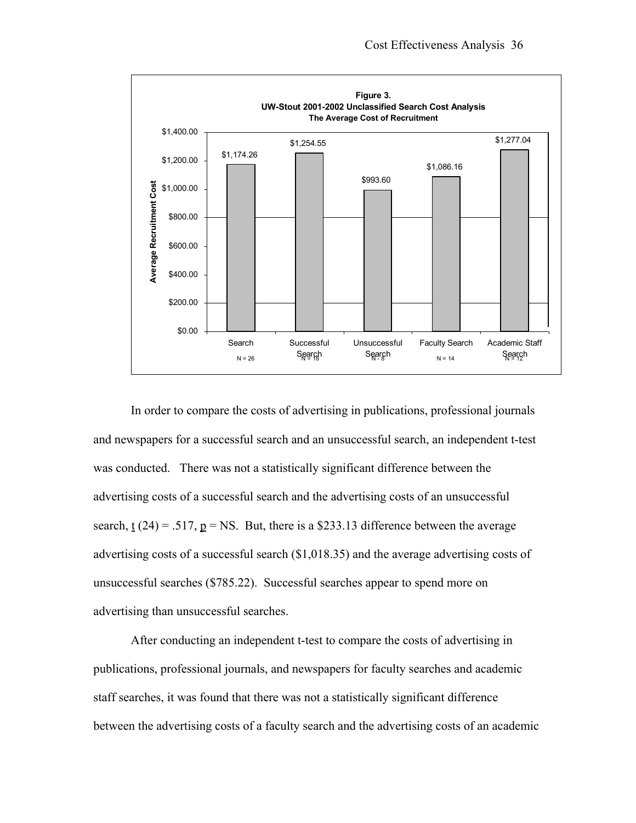

In order to compare the costs of advertising in publications, professional journals and newspapers for a successful search and an unsuccessful search, an independent t-test was conducted. There was not a statistically significant difference between the advertising costs of a successful search and the advertising costs of an unsuccessful search,  $\underline{t}(24) = .517$ ,  $\underline{p} = \text{NS}$ . But, there is a \$233.13 difference between the average advertising costs of a successful search (\$1,018.35) and the average advertising costs of unsuccessful searches (\$785.22). Successful searches appear to spend more on advertising than unsuccessful searches.

After conducting an independent t-test to compare the costs of advertising in publications, professional journals, and newspapers for faculty searches and academic staff searches, it was found that there was not a statistically significant difference between the advertising costs of a faculty search and the advertising costs of an academic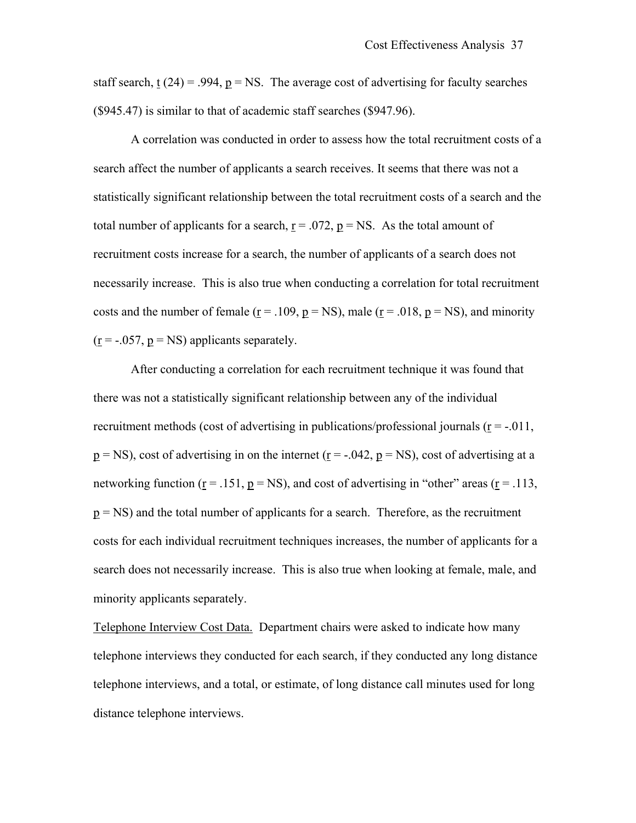staff search, t  $(24) = .994$ ,  $p = NS$ . The average cost of advertising for faculty searches (\$945.47) is similar to that of academic staff searches (\$947.96).

A correlation was conducted in order to assess how the total recruitment costs of a search affect the number of applicants a search receives. It seems that there was not a statistically significant relationship between the total recruitment costs of a search and the total number of applicants for a search,  $r = .072$ ,  $p = NS$ . As the total amount of recruitment costs increase for a search, the number of applicants of a search does not necessarily increase. This is also true when conducting a correlation for total recruitment costs and the number of female ( $r = .109$ ,  $p = NS$ ), male ( $r = .018$ ,  $p = NS$ ), and minority  $(r = -.057, p = NS)$  applicants separately.

After conducting a correlation for each recruitment technique it was found that there was not a statistically significant relationship between any of the individual recruitment methods (cost of advertising in publications/professional journals  $(r = -0.011)$ ,  $p = NS$ ), cost of advertising in on the internet ( $r = -.042$ ,  $p = NS$ ), cost of advertising at a networking function ( $r = .151$ ,  $p = NS$ ), and cost of advertising in "other" areas ( $r = .113$ ,  $p = NS$ ) and the total number of applicants for a search. Therefore, as the recruitment costs for each individual recruitment techniques increases, the number of applicants for a search does not necessarily increase. This is also true when looking at female, male, and minority applicants separately.

Telephone Interview Cost Data. Department chairs were asked to indicate how many telephone interviews they conducted for each search, if they conducted any long distance telephone interviews, and a total, or estimate, of long distance call minutes used for long distance telephone interviews.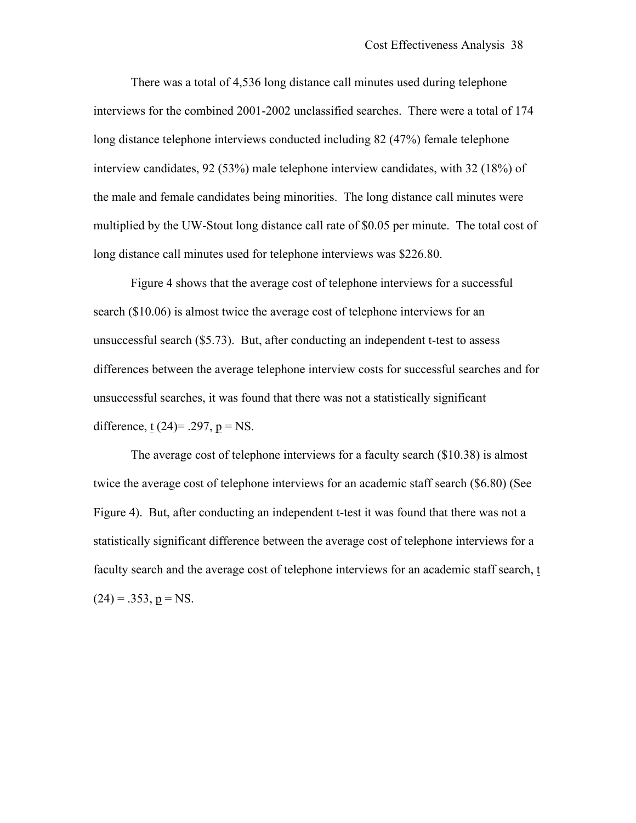There was a total of 4,536 long distance call minutes used during telephone interviews for the combined 2001-2002 unclassified searches. There were a total of 174 long distance telephone interviews conducted including 82 (47%) female telephone interview candidates, 92 (53%) male telephone interview candidates, with 32 (18%) of the male and female candidates being minorities. The long distance call minutes were multiplied by the UW-Stout long distance call rate of \$0.05 per minute. The total cost of long distance call minutes used for telephone interviews was \$226.80.

Figure 4 shows that the average cost of telephone interviews for a successful search (\$10.06) is almost twice the average cost of telephone interviews for an unsuccessful search (\$5.73). But, after conducting an independent t-test to assess differences between the average telephone interview costs for successful searches and for unsuccessful searches, it was found that there was not a statistically significant difference, t  $(24)$ = .297, p = NS.

The average cost of telephone interviews for a faculty search (\$10.38) is almost twice the average cost of telephone interviews for an academic staff search (\$6.80) (See Figure 4). But, after conducting an independent t-test it was found that there was not a statistically significant difference between the average cost of telephone interviews for a faculty search and the average cost of telephone interviews for an academic staff search, t  $(24) = .353, p = NS.$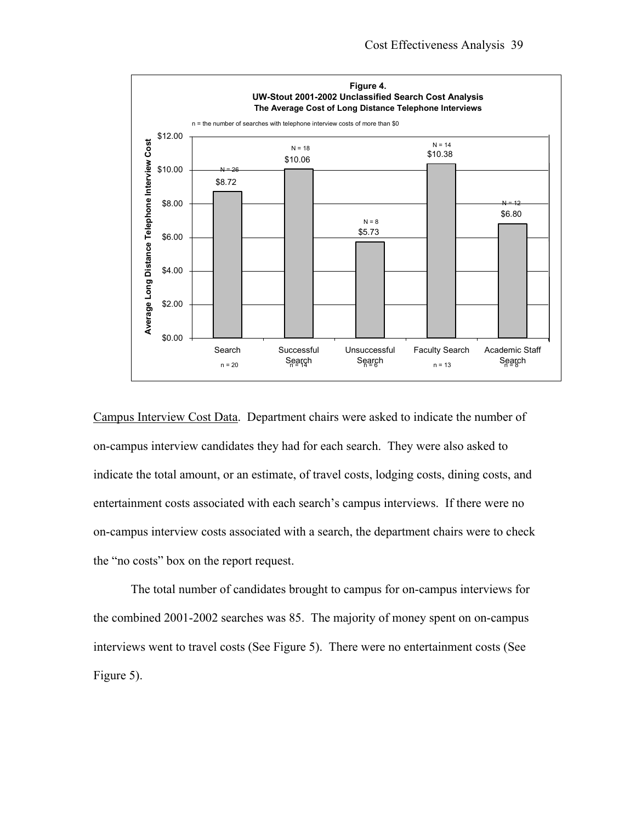

Campus Interview Cost Data. Department chairs were asked to indicate the number of on-campus interview candidates they had for each search. They were also asked to indicate the total amount, or an estimate, of travel costs, lodging costs, dining costs, and entertainment costs associated with each search's campus interviews. If there were no on-campus interview costs associated with a search, the department chairs were to check the "no costs" box on the report request.

The total number of candidates brought to campus for on-campus interviews for the combined 2001-2002 searches was 85. The majority of money spent on on-campus interviews went to travel costs (See Figure 5). There were no entertainment costs (See Figure 5).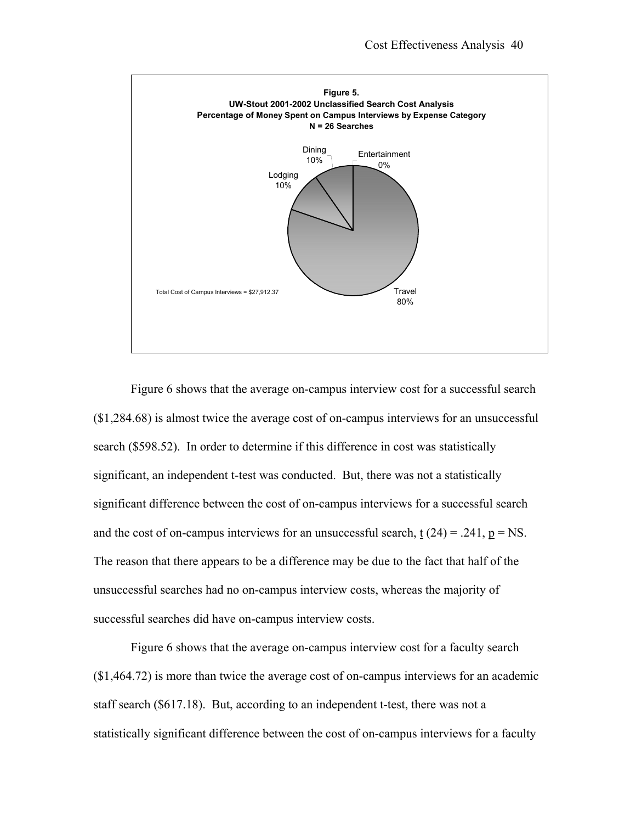

Figure 6 shows that the average on-campus interview cost for a successful search (\$1,284.68) is almost twice the average cost of on-campus interviews for an unsuccessful search (\$598.52). In order to determine if this difference in cost was statistically significant, an independent t-test was conducted. But, there was not a statistically significant difference between the cost of on-campus interviews for a successful search and the cost of on-campus interviews for an unsuccessful search,  $t(24) = .241$ ,  $p = NS$ . The reason that there appears to be a difference may be due to the fact that half of the unsuccessful searches had no on-campus interview costs, whereas the majority of successful searches did have on-campus interview costs.

Figure 6 shows that the average on-campus interview cost for a faculty search (\$1,464.72) is more than twice the average cost of on-campus interviews for an academic staff search (\$617.18). But, according to an independent t-test, there was not a statistically significant difference between the cost of on-campus interviews for a faculty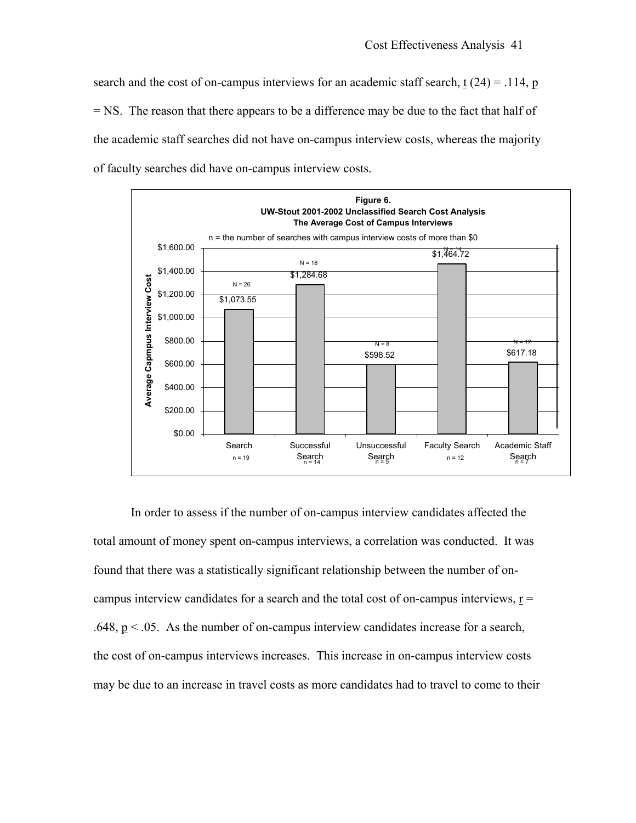search and the cost of on-campus interviews for an academic staff search,  $t(24) = .114$ , p = NS. The reason that there appears to be a difference may be due to the fact that half of the academic staff searches did not have on-campus interview costs, whereas the majority of faculty searches did have on-campus interview costs.



In order to assess if the number of on-campus interview candidates affected the total amount of money spent on-campus interviews, a correlation was conducted. It was found that there was a statistically significant relationship between the number of oncampus interview candidates for a search and the total cost of on-campus interviews,  $r =$ .648,  $p < 0.05$ . As the number of on-campus interview candidates increase for a search, the cost of on-campus interviews increases. This increase in on-campus interview costs may be due to an increase in travel costs as more candidates had to travel to come to their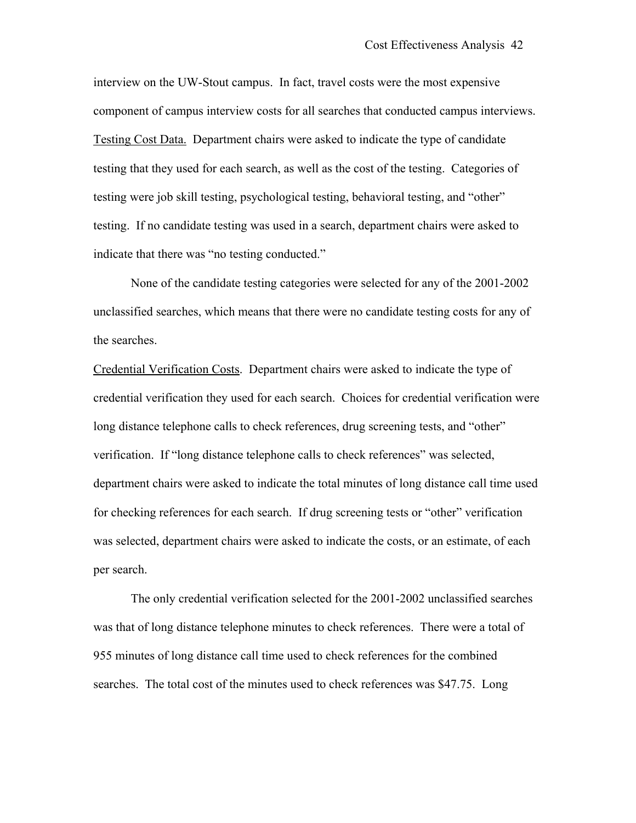interview on the UW-Stout campus. In fact, travel costs were the most expensive component of campus interview costs for all searches that conducted campus interviews. Testing Cost Data. Department chairs were asked to indicate the type of candidate testing that they used for each search, as well as the cost of the testing. Categories of testing were job skill testing, psychological testing, behavioral testing, and "other" testing. If no candidate testing was used in a search, department chairs were asked to indicate that there was "no testing conducted."

None of the candidate testing categories were selected for any of the 2001-2002 unclassified searches, which means that there were no candidate testing costs for any of the searches.

Credential Verification Costs. Department chairs were asked to indicate the type of credential verification they used for each search. Choices for credential verification were long distance telephone calls to check references, drug screening tests, and "other" verification. If "long distance telephone calls to check references" was selected, department chairs were asked to indicate the total minutes of long distance call time used for checking references for each search. If drug screening tests or "other" verification was selected, department chairs were asked to indicate the costs, or an estimate, of each per search.

The only credential verification selected for the 2001-2002 unclassified searches was that of long distance telephone minutes to check references. There were a total of 955 minutes of long distance call time used to check references for the combined searches. The total cost of the minutes used to check references was \$47.75. Long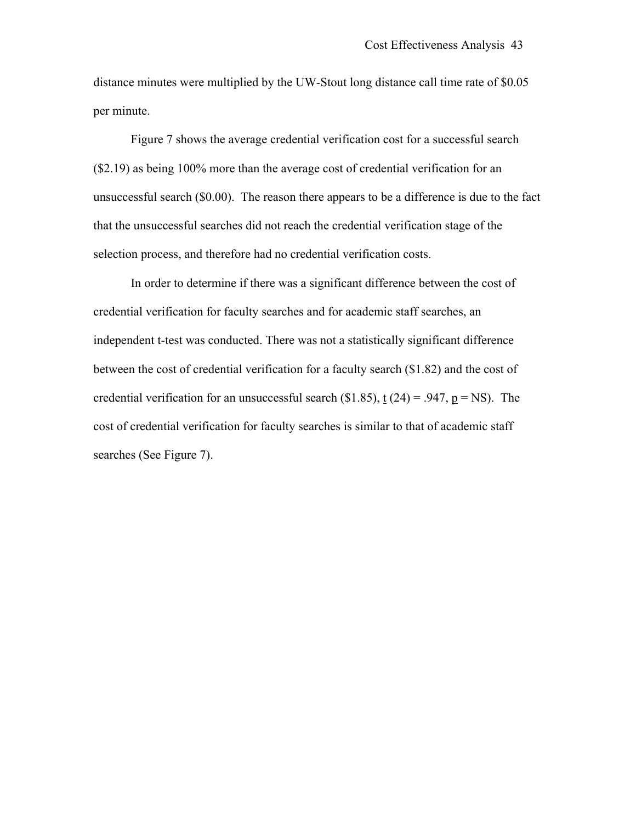distance minutes were multiplied by the UW-Stout long distance call time rate of \$0.05 per minute.

Figure 7 shows the average credential verification cost for a successful search (\$2.19) as being 100% more than the average cost of credential verification for an unsuccessful search (\$0.00). The reason there appears to be a difference is due to the fact that the unsuccessful searches did not reach the credential verification stage of the selection process, and therefore had no credential verification costs.

In order to determine if there was a significant difference between the cost of credential verification for faculty searches and for academic staff searches, an independent t-test was conducted. There was not a statistically significant difference between the cost of credential verification for a faculty search (\$1.82) and the cost of credential verification for an unsuccessful search (\$1.85),  $t(24) = .947$ ,  $p = NS$ ). The cost of credential verification for faculty searches is similar to that of academic staff searches (See Figure 7).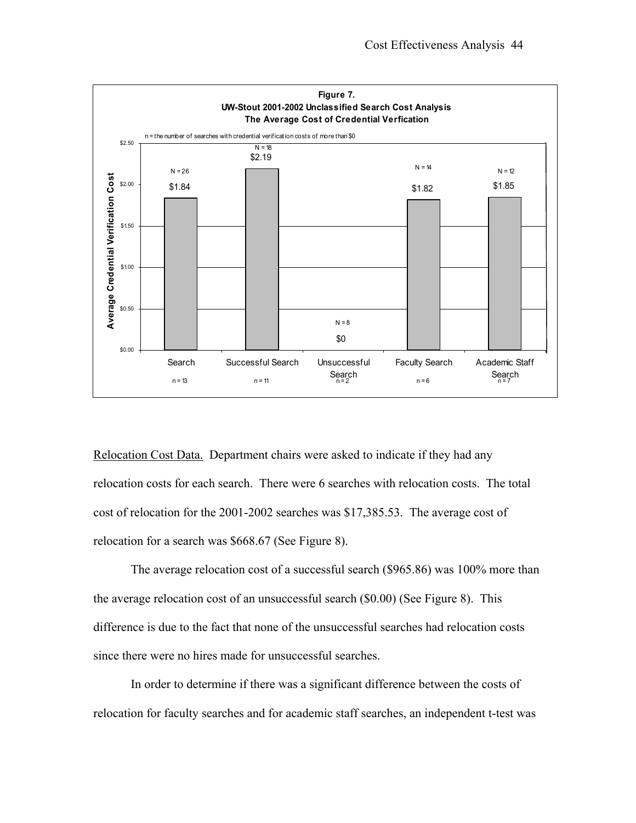

Relocation Cost Data. Department chairs were asked to indicate if they had any relocation costs for each search. There were 6 searches with relocation costs. The total cost of relocation for the 2001-2002 searches was \$17,385.53. The average cost of relocation for a search was \$668.67 (See Figure 8).

The average relocation cost of a successful search (\$965.86) was 100% more than the average relocation cost of an unsuccessful search (\$0.00) (See Figure 8). This difference is due to the fact that none of the unsuccessful searches had relocation costs since there were no hires made for unsuccessful searches.

In order to determine if there was a significant difference between the costs of relocation for faculty searches and for academic staff searches, an independent t-test was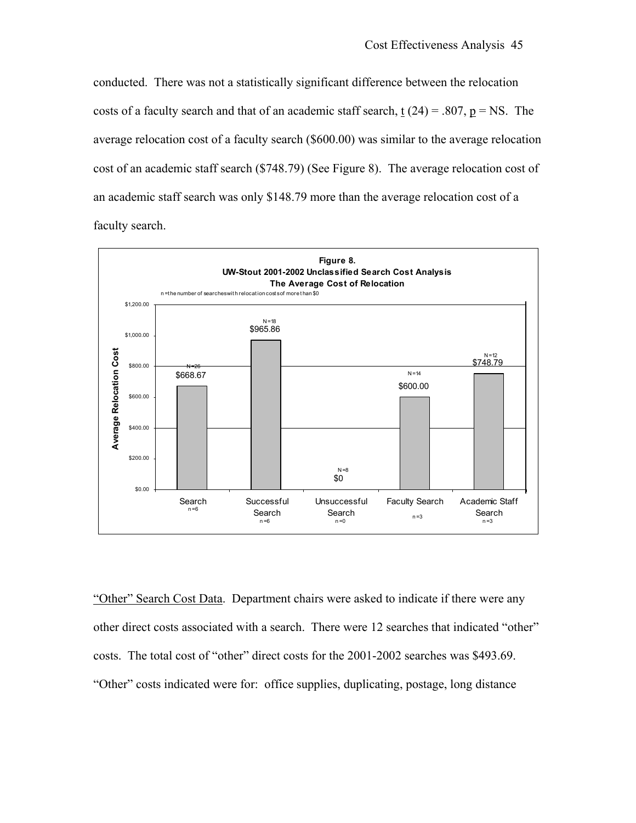conducted. There was not a statistically significant difference between the relocation costs of a faculty search and that of an academic staff search, t  $(24) = .807$ ,  $p = NS$ . The average relocation cost of a faculty search (\$600.00) was similar to the average relocation cost of an academic staff search (\$748.79) (See Figure 8). The average relocation cost of an academic staff search was only \$148.79 more than the average relocation cost of a faculty search.



"Other" Search Cost Data. Department chairs were asked to indicate if there were any other direct costs associated with a search. There were 12 searches that indicated "other" costs. The total cost of "other" direct costs for the 2001-2002 searches was \$493.69. "Other" costs indicated were for: office supplies, duplicating, postage, long distance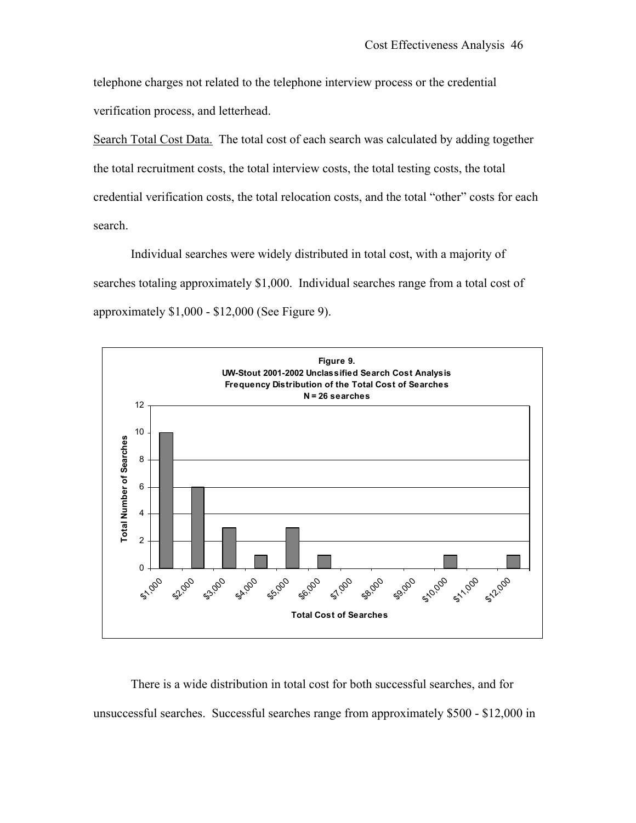telephone charges not related to the telephone interview process or the credential verification process, and letterhead.

Search Total Cost Data. The total cost of each search was calculated by adding together the total recruitment costs, the total interview costs, the total testing costs, the total credential verification costs, the total relocation costs, and the total "other" costs for each search.

Individual searches were widely distributed in total cost, with a majority of searches totaling approximately \$1,000. Individual searches range from a total cost of approximately \$1,000 - \$12,000 (See Figure 9).



There is a wide distribution in total cost for both successful searches, and for unsuccessful searches. Successful searches range from approximately \$500 - \$12,000 in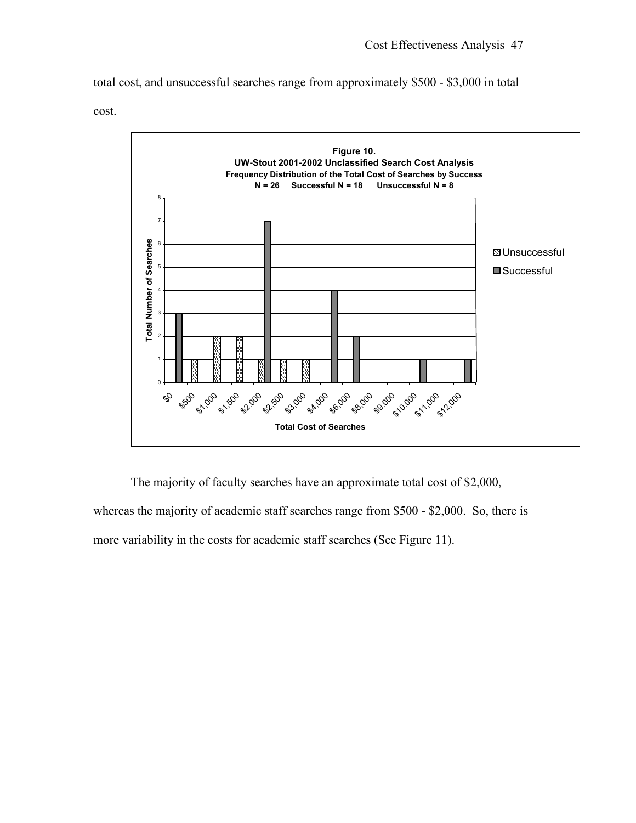total cost, and unsuccessful searches range from approximately \$500 - \$3,000 in total





The majority of faculty searches have an approximate total cost of \$2,000,

whereas the majority of academic staff searches range from \$500 - \$2,000. So, there is more variability in the costs for academic staff searches (See Figure 11).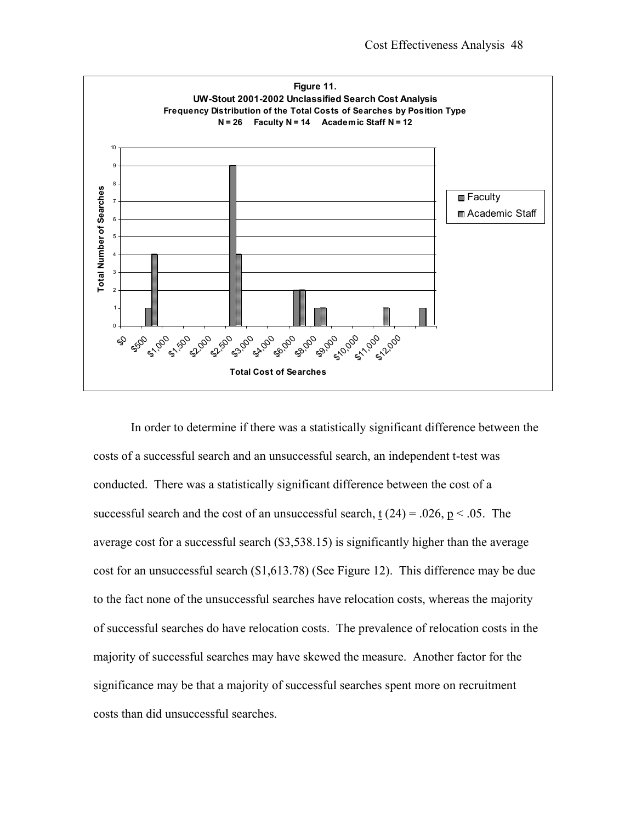

In order to determine if there was a statistically significant difference between the costs of a successful search and an unsuccessful search, an independent t-test was conducted. There was a statistically significant difference between the cost of a successful search and the cost of an unsuccessful search,  $\underline{t}$  (24) = .026,  $\underline{p}$  < .05. The average cost for a successful search (\$3,538.15) is significantly higher than the average cost for an unsuccessful search (\$1,613.78) (See Figure 12). This difference may be due to the fact none of the unsuccessful searches have relocation costs, whereas the majority of successful searches do have relocation costs. The prevalence of relocation costs in the majority of successful searches may have skewed the measure. Another factor for the significance may be that a majority of successful searches spent more on recruitment costs than did unsuccessful searches.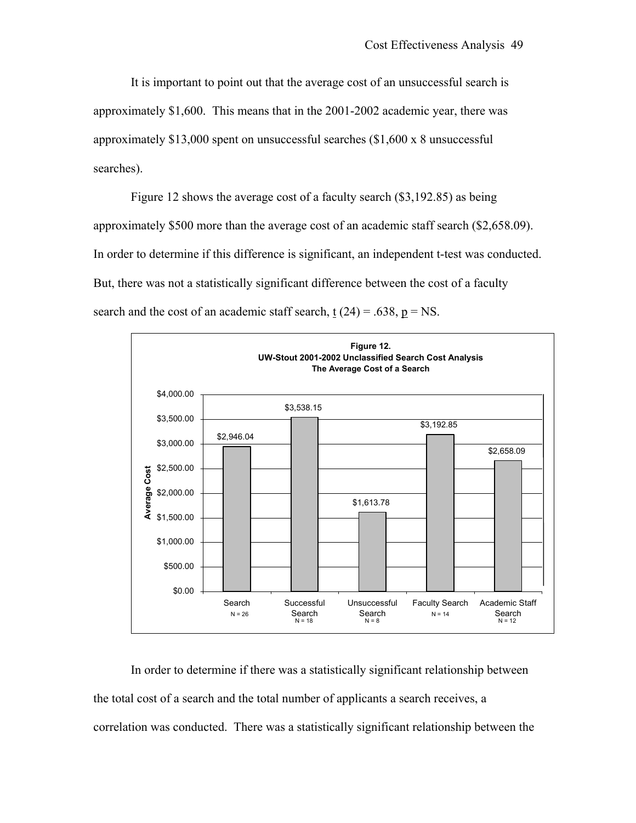It is important to point out that the average cost of an unsuccessful search is approximately \$1,600. This means that in the 2001-2002 academic year, there was approximately \$13,000 spent on unsuccessful searches (\$1,600 x 8 unsuccessful searches).

Figure 12 shows the average cost of a faculty search (\$3,192.85) as being approximately \$500 more than the average cost of an academic staff search (\$2,658.09). In order to determine if this difference is significant, an independent t-test was conducted. But, there was not a statistically significant difference between the cost of a faculty search and the cost of an academic staff search,  $t(24) = .638$ ,  $p = NS$ .



In order to determine if there was a statistically significant relationship between the total cost of a search and the total number of applicants a search receives, a correlation was conducted. There was a statistically significant relationship between the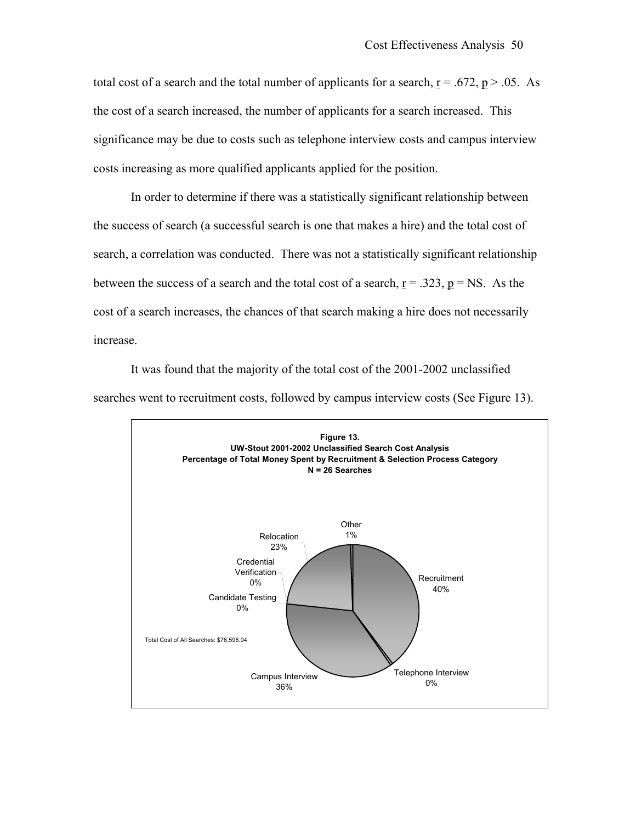total cost of a search and the total number of applicants for a search,  $r = .672$ ,  $p > .05$ . As the cost of a search increased, the number of applicants for a search increased. This significance may be due to costs such as telephone interview costs and campus interview costs increasing as more qualified applicants applied for the position.

In order to determine if there was a statistically significant relationship between the success of search (a successful search is one that makes a hire) and the total cost of search, a correlation was conducted. There was not a statistically significant relationship between the success of a search and the total cost of a search,  $r = .323$ ,  $p = NS$ . As the cost of a search increases, the chances of that search making a hire does not necessarily increase.

It was found that the majority of the total cost of the 2001-2002 unclassified searches went to recruitment costs, followed by campus interview costs (See Figure 13).

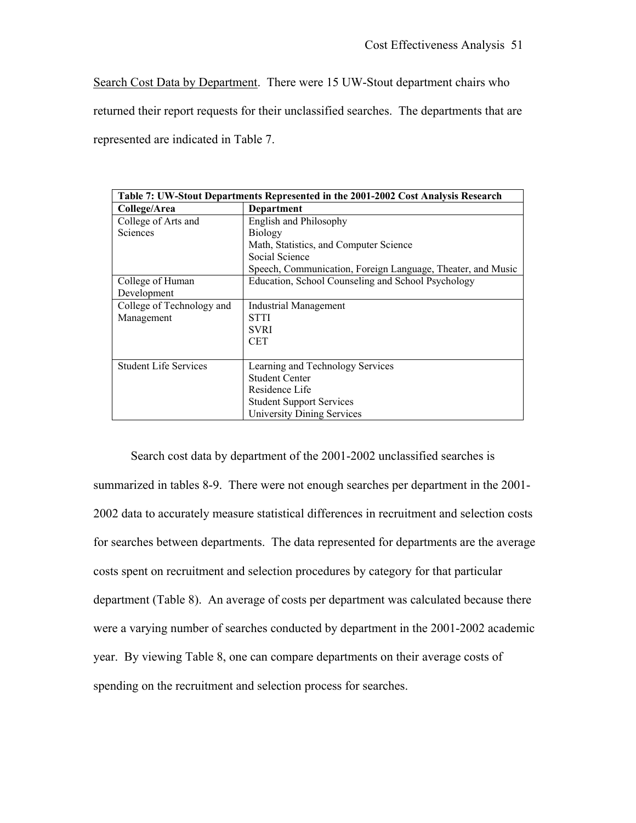Search Cost Data by Department. There were 15 UW-Stout department chairs who

returned their report requests for their unclassified searches. The departments that are

represented are indicated in Table 7.

| Table 7: UW-Stout Departments Represented in the 2001-2002 Cost Analysis Research |                                                             |  |  |  |
|-----------------------------------------------------------------------------------|-------------------------------------------------------------|--|--|--|
| College/Area                                                                      | Department                                                  |  |  |  |
| College of Arts and                                                               | English and Philosophy                                      |  |  |  |
| <b>Sciences</b>                                                                   | <b>Biology</b>                                              |  |  |  |
|                                                                                   | Math, Statistics, and Computer Science                      |  |  |  |
|                                                                                   | Social Science                                              |  |  |  |
|                                                                                   | Speech, Communication, Foreign Language, Theater, and Music |  |  |  |
| College of Human                                                                  | Education, School Counseling and School Psychology          |  |  |  |
| Development                                                                       |                                                             |  |  |  |
| College of Technology and                                                         | <b>Industrial Management</b>                                |  |  |  |
| Management                                                                        | <b>STTI</b>                                                 |  |  |  |
|                                                                                   | <b>SVRI</b>                                                 |  |  |  |
|                                                                                   | <b>CET</b>                                                  |  |  |  |
|                                                                                   |                                                             |  |  |  |
| <b>Student Life Services</b>                                                      | Learning and Technology Services                            |  |  |  |
|                                                                                   | <b>Student Center</b>                                       |  |  |  |
|                                                                                   | Residence Life                                              |  |  |  |
|                                                                                   | <b>Student Support Services</b>                             |  |  |  |
|                                                                                   | <b>University Dining Services</b>                           |  |  |  |

Search cost data by department of the 2001-2002 unclassified searches is summarized in tables 8-9. There were not enough searches per department in the 2001- 2002 data to accurately measure statistical differences in recruitment and selection costs for searches between departments. The data represented for departments are the average costs spent on recruitment and selection procedures by category for that particular department (Table 8). An average of costs per department was calculated because there were a varying number of searches conducted by department in the 2001-2002 academic year. By viewing Table 8, one can compare departments on their average costs of spending on the recruitment and selection process for searches.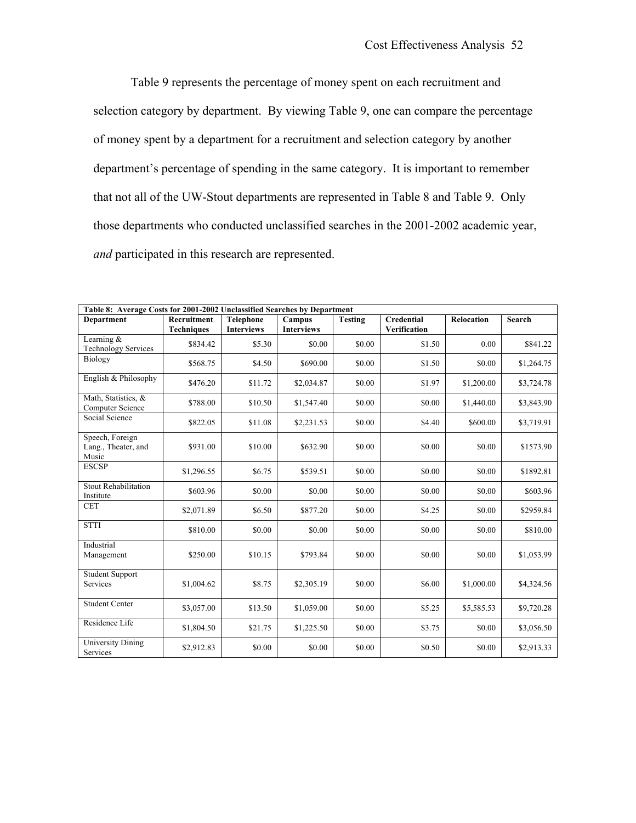Table 9 represents the percentage of money spent on each recruitment and selection category by department. By viewing Table 9, one can compare the percentage of money spent by a department for a recruitment and selection category by another department's percentage of spending in the same category. It is important to remember that not all of the UW-Stout departments are represented in Table 8 and Table 9. Only those departments who conducted unclassified searches in the 2001-2002 academic year, *and* participated in this research are represented.

| Table 8: Average Costs for 2001-2002 Unclassified Searches by Department |                                  |                                       |                             |                |                                          |                   |               |  |
|--------------------------------------------------------------------------|----------------------------------|---------------------------------------|-----------------------------|----------------|------------------------------------------|-------------------|---------------|--|
| <b>Department</b>                                                        | Recruitment<br><b>Techniques</b> | <b>Telephone</b><br><b>Interviews</b> | Campus<br><b>Interviews</b> | <b>Testing</b> | <b>Credential</b><br><b>Verification</b> | <b>Relocation</b> | <b>Search</b> |  |
| Learning $&$<br><b>Technology Services</b>                               | \$834.42                         | \$5.30                                | \$0.00                      | \$0.00         | \$1.50                                   | 0.00              | \$841.22      |  |
| Biology                                                                  | \$568.75                         | \$4.50                                | \$690.00                    | \$0.00         | \$1.50                                   | \$0.00            | \$1,264.75    |  |
| English & Philosophy                                                     | \$476.20                         | \$11.72                               | \$2,034.87                  | \$0.00         | \$1.97                                   | \$1,200.00        | \$3,724.78    |  |
| Math, Statistics, &<br>Computer Science                                  | \$788.00                         | \$10.50                               | \$1,547.40                  | \$0.00         | \$0.00                                   | \$1,440.00        | \$3,843.90    |  |
| Social Science                                                           | \$822.05                         | \$11.08                               | \$2,231.53                  | \$0.00         | \$4.40                                   | \$600.00          | \$3,719.91    |  |
| Speech, Foreign<br>Lang., Theater, and<br>Music                          | \$931.00                         | \$10.00                               | \$632.90                    | \$0.00         | \$0.00                                   | \$0.00            | \$1573.90     |  |
| <b>ESCSP</b>                                                             | \$1,296.55                       | \$6.75                                | \$539.51                    | \$0.00         | \$0.00                                   | \$0.00            | \$1892.81     |  |
| <b>Stout Rehabilitation</b><br>Institute                                 | \$603.96                         | \$0.00                                | \$0.00                      | \$0.00         | \$0.00                                   | \$0.00            | \$603.96      |  |
| <b>CET</b>                                                               | \$2,071.89                       | \$6.50                                | \$877.20                    | \$0.00         | \$4.25                                   | \$0.00            | \$2959.84     |  |
| <b>STTI</b>                                                              | \$810.00                         | \$0.00                                | \$0.00                      | \$0.00         | \$0.00                                   | \$0.00            | \$810.00      |  |
| Industrial<br>Management                                                 | \$250.00                         | \$10.15                               | \$793.84                    | \$0.00         | \$0.00                                   | \$0.00            | \$1,053.99    |  |
| Student Support<br>Services                                              | \$1,004.62                       | \$8.75                                | \$2,305.19                  | \$0.00         | \$6.00                                   | \$1,000.00        | \$4,324.56    |  |
| <b>Student Center</b>                                                    | \$3,057.00                       | \$13.50                               | \$1,059.00                  | \$0.00         | \$5.25                                   | \$5,585.53        | \$9,720.28    |  |
| Residence Life                                                           | \$1,804.50                       | \$21.75                               | \$1,225.50                  | \$0.00         | \$3.75                                   | \$0.00            | \$3,056.50    |  |
| University Dining<br>Services                                            | \$2,912.83                       | \$0.00                                | \$0.00                      | \$0.00         | \$0.50                                   | \$0.00            | \$2,913.33    |  |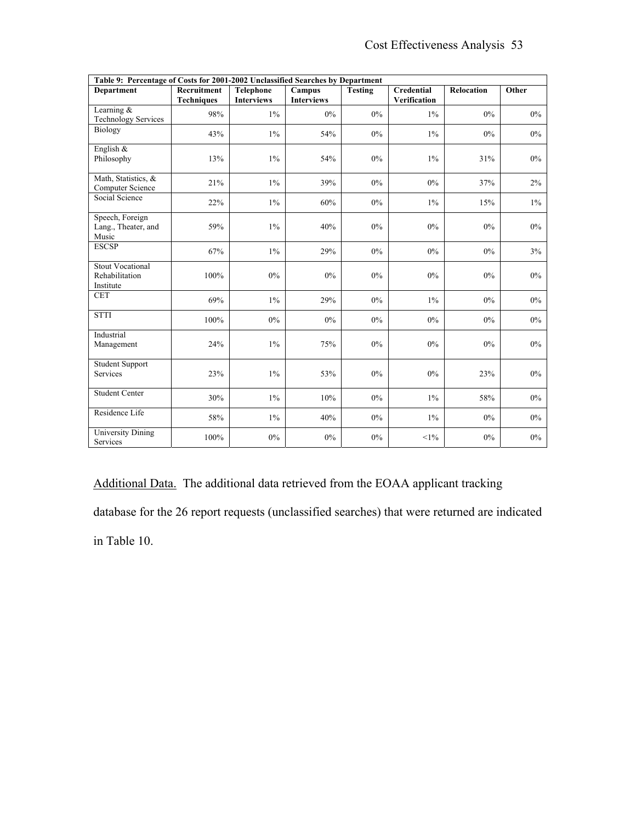| Table 9: Percentage of Costs for 2001-2002 Unclassified Searches by Department |                                  |                                       |                             |                |                                   |                   |       |
|--------------------------------------------------------------------------------|----------------------------------|---------------------------------------|-----------------------------|----------------|-----------------------------------|-------------------|-------|
| <b>Department</b>                                                              | Recruitment<br><b>Techniques</b> | <b>Telephone</b><br><b>Interviews</b> | Campus<br><b>Interviews</b> | <b>Testing</b> | <b>Credential</b><br>Verification | <b>Relocation</b> | Other |
| Learning $&$<br><b>Technology Services</b>                                     | 98%                              | $1\%$                                 | $0\%$                       | $0\%$          | $1\%$                             | $0\%$             | $0\%$ |
| Biology                                                                        | 43%                              | $1\%$                                 | 54%                         | $0\%$          | $1\%$                             | 0%                | $0\%$ |
| English &<br>Philosophy                                                        | 13%                              | $1\%$                                 | 54%                         | $0\%$          | $1\%$                             | 31%               | $0\%$ |
| Math, Statistics, &<br>Computer Science                                        | 21%                              | $1\%$                                 | 39%                         | $0\%$          | $0\%$                             | 37%               | 2%    |
| Social Science                                                                 | 22%                              | $1\%$                                 | 60%                         | $0\%$          | 1%                                | 15%               | $1\%$ |
| Speech, Foreign<br>Lang., Theater, and<br>Music                                | 59%                              | $1\%$                                 | 40%                         | 0%             | 0%                                | 0%                | 0%    |
| <b>ESCSP</b>                                                                   | 67%                              | $1\%$                                 | 29%                         | $0\%$          | 0%                                | 0%                | 3%    |
| <b>Stout Vocational</b><br>Rehabilitation<br>Institute                         | 100%                             | $0\%$                                 | $0\%$                       | $0\%$          | $0\%$                             | $0\%$             | $0\%$ |
| <b>CET</b>                                                                     | 69%                              | $1\%$                                 | 29%                         | $0\%$          | $1\%$                             | 0%                | $0\%$ |
| <b>STTI</b>                                                                    | 100%                             | $0\%$                                 | $0\%$                       | $0\%$          | $0\%$                             | $0\%$             | $0\%$ |
| Industrial<br>Management                                                       | 24%                              | $1\%$                                 | 75%                         | $0\%$          | 0%                                | 0%                | $0\%$ |
| <b>Student Support</b><br>Services                                             | 23%                              | 1%                                    | 53%                         | $0\%$          | 0%                                | 23%               | $0\%$ |
| <b>Student Center</b>                                                          | 30%                              | $1\%$                                 | 10%                         | $0\%$          | $1\%$                             | 58%               | $0\%$ |
| Residence Life                                                                 | 58%                              | $1\%$                                 | 40%                         | $0\%$          | $1\%$                             | 0%                | $0\%$ |
| <b>University Dining</b><br>Services                                           | 100%                             | $0\%$                                 | 0%                          | 0%             | $<1\%$                            | $0\%$             | $0\%$ |

Additional Data. The additional data retrieved from the EOAA applicant tracking database for the 26 report requests (unclassified searches) that were returned are indicated in Table 10.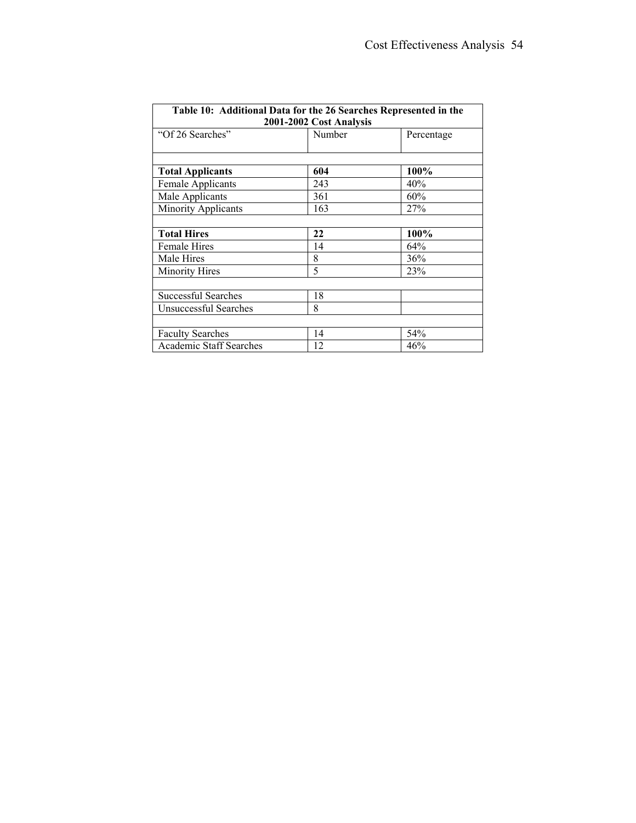| Table 10: Additional Data for the 26 Searches Represented in the<br>2001-2002 Cost Analysis |        |            |
|---------------------------------------------------------------------------------------------|--------|------------|
| "Of 26 Searches"                                                                            | Number | Percentage |
|                                                                                             |        |            |
| <b>Total Applicants</b>                                                                     | 604    | 100%       |
| Female Applicants                                                                           | 243    | 40%        |
| Male Applicants                                                                             | 361    | 60%        |
| Minority Applicants                                                                         | 163    | 27%        |
|                                                                                             |        |            |
| <b>Total Hires</b>                                                                          | 22     | 100%       |
| Female Hires                                                                                | 14     | 64%        |
| Male Hires                                                                                  | 8      | 36%        |
| <b>Minority Hires</b>                                                                       | 5      | 23%        |
|                                                                                             |        |            |
| <b>Successful Searches</b>                                                                  | 18     |            |
| Unsuccessful Searches                                                                       | 8      |            |
|                                                                                             |        |            |
| <b>Faculty Searches</b>                                                                     | 14     | 54%        |
| <b>Academic Staff Searches</b>                                                              | 12     | 46%        |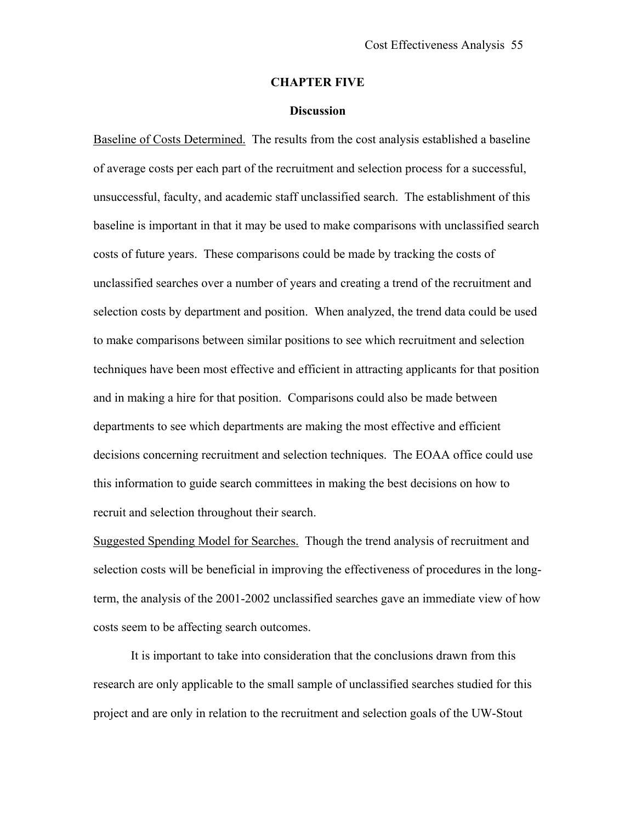#### **CHAPTER FIVE**

#### **Discussion**

<span id="page-60-0"></span>Baseline of Costs Determined. The results from the cost analysis established a baseline of average costs per each part of the recruitment and selection process for a successful, unsuccessful, faculty, and academic staff unclassified search. The establishment of this baseline is important in that it may be used to make comparisons with unclassified search costs of future years. These comparisons could be made by tracking the costs of unclassified searches over a number of years and creating a trend of the recruitment and selection costs by department and position. When analyzed, the trend data could be used to make comparisons between similar positions to see which recruitment and selection techniques have been most effective and efficient in attracting applicants for that position and in making a hire for that position. Comparisons could also be made between departments to see which departments are making the most effective and efficient decisions concerning recruitment and selection techniques. The EOAA office could use this information to guide search committees in making the best decisions on how to recruit and selection throughout their search.

Suggested Spending Model for Searches. Though the trend analysis of recruitment and selection costs will be beneficial in improving the effectiveness of procedures in the longterm, the analysis of the 2001-2002 unclassified searches gave an immediate view of how costs seem to be affecting search outcomes.

It is important to take into consideration that the conclusions drawn from this research are only applicable to the small sample of unclassified searches studied for this project and are only in relation to the recruitment and selection goals of the UW-Stout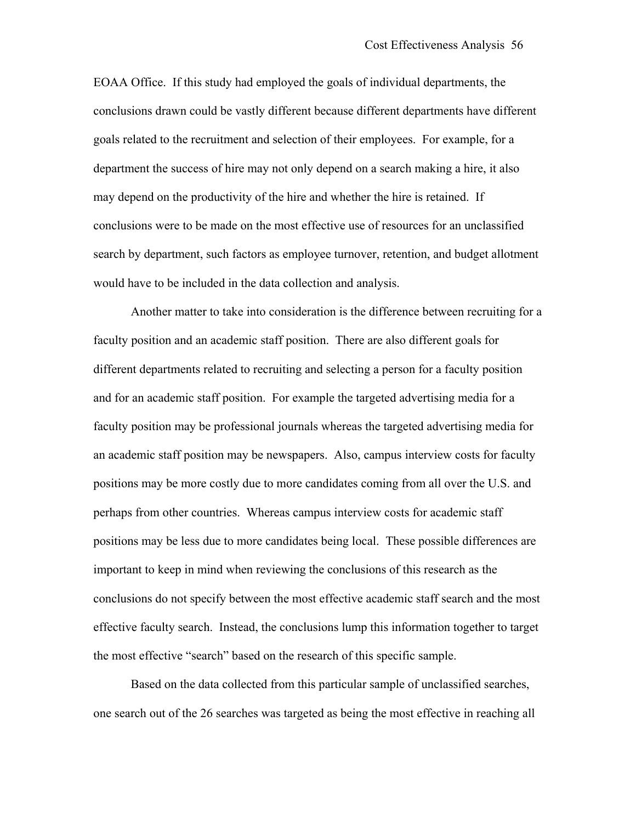EOAA Office. If this study had employed the goals of individual departments, the conclusions drawn could be vastly different because different departments have different goals related to the recruitment and selection of their employees. For example, for a department the success of hire may not only depend on a search making a hire, it also may depend on the productivity of the hire and whether the hire is retained. If conclusions were to be made on the most effective use of resources for an unclassified search by department, such factors as employee turnover, retention, and budget allotment would have to be included in the data collection and analysis.

Another matter to take into consideration is the difference between recruiting for a faculty position and an academic staff position. There are also different goals for different departments related to recruiting and selecting a person for a faculty position and for an academic staff position. For example the targeted advertising media for a faculty position may be professional journals whereas the targeted advertising media for an academic staff position may be newspapers. Also, campus interview costs for faculty positions may be more costly due to more candidates coming from all over the U.S. and perhaps from other countries. Whereas campus interview costs for academic staff positions may be less due to more candidates being local. These possible differences are important to keep in mind when reviewing the conclusions of this research as the conclusions do not specify between the most effective academic staff search and the most effective faculty search. Instead, the conclusions lump this information together to target the most effective "search" based on the research of this specific sample.

Based on the data collected from this particular sample of unclassified searches, one search out of the 26 searches was targeted as being the most effective in reaching all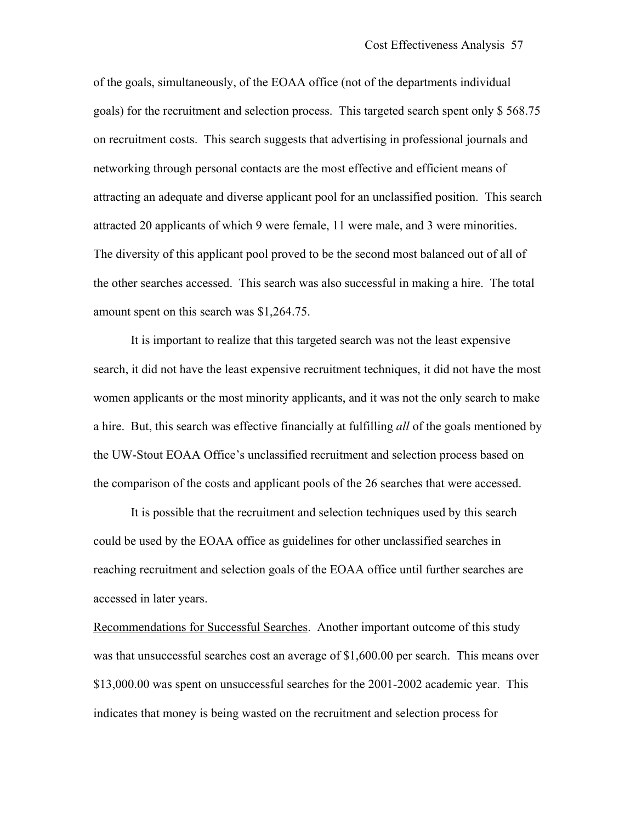of the goals, simultaneously, of the EOAA office (not of the departments individual goals) for the recruitment and selection process. This targeted search spent only \$ 568.75 on recruitment costs. This search suggests that advertising in professional journals and networking through personal contacts are the most effective and efficient means of attracting an adequate and diverse applicant pool for an unclassified position. This search attracted 20 applicants of which 9 were female, 11 were male, and 3 were minorities. The diversity of this applicant pool proved to be the second most balanced out of all of the other searches accessed. This search was also successful in making a hire. The total amount spent on this search was \$1,264.75.

It is important to realize that this targeted search was not the least expensive search, it did not have the least expensive recruitment techniques, it did not have the most women applicants or the most minority applicants, and it was not the only search to make a hire. But, this search was effective financially at fulfilling *all* of the goals mentioned by the UW-Stout EOAA Office's unclassified recruitment and selection process based on the comparison of the costs and applicant pools of the 26 searches that were accessed.

 It is possible that the recruitment and selection techniques used by this search could be used by the EOAA office as guidelines for other unclassified searches in reaching recruitment and selection goals of the EOAA office until further searches are accessed in later years.

Recommendations for Successful Searches. Another important outcome of this study was that unsuccessful searches cost an average of \$1,600.00 per search. This means over \$13,000.00 was spent on unsuccessful searches for the 2001-2002 academic year. This indicates that money is being wasted on the recruitment and selection process for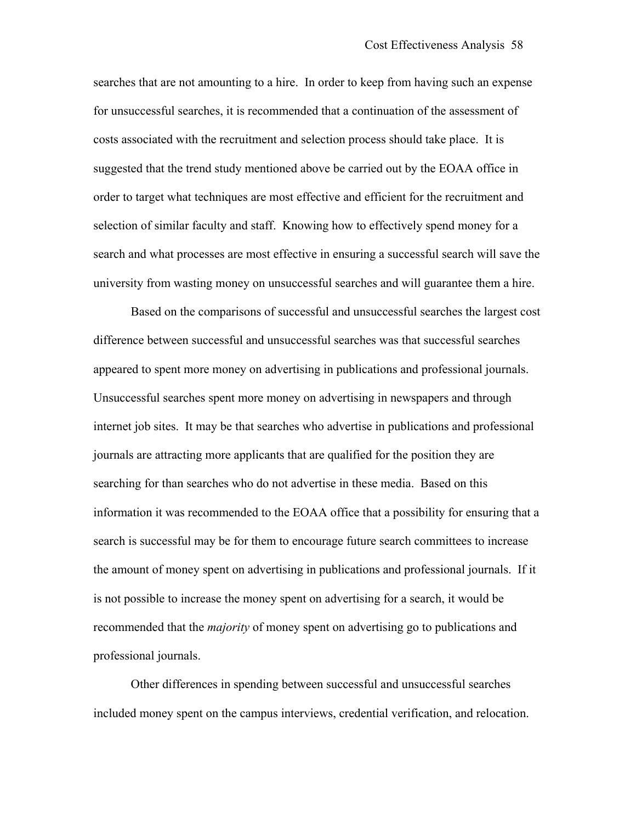searches that are not amounting to a hire. In order to keep from having such an expense for unsuccessful searches, it is recommended that a continuation of the assessment of costs associated with the recruitment and selection process should take place. It is suggested that the trend study mentioned above be carried out by the EOAA office in order to target what techniques are most effective and efficient for the recruitment and selection of similar faculty and staff. Knowing how to effectively spend money for a search and what processes are most effective in ensuring a successful search will save the university from wasting money on unsuccessful searches and will guarantee them a hire.

Based on the comparisons of successful and unsuccessful searches the largest cost difference between successful and unsuccessful searches was that successful searches appeared to spent more money on advertising in publications and professional journals. Unsuccessful searches spent more money on advertising in newspapers and through internet job sites. It may be that searches who advertise in publications and professional journals are attracting more applicants that are qualified for the position they are searching for than searches who do not advertise in these media. Based on this information it was recommended to the EOAA office that a possibility for ensuring that a search is successful may be for them to encourage future search committees to increase the amount of money spent on advertising in publications and professional journals. If it is not possible to increase the money spent on advertising for a search, it would be recommended that the *majority* of money spent on advertising go to publications and professional journals.

Other differences in spending between successful and unsuccessful searches included money spent on the campus interviews, credential verification, and relocation.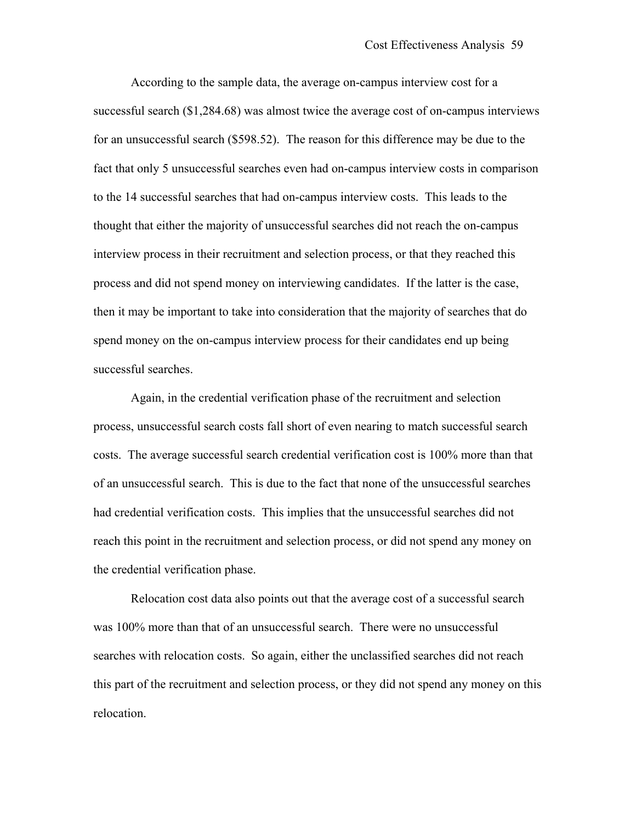According to the sample data, the average on-campus interview cost for a successful search (\$1,284.68) was almost twice the average cost of on-campus interviews for an unsuccessful search (\$598.52). The reason for this difference may be due to the fact that only 5 unsuccessful searches even had on-campus interview costs in comparison to the 14 successful searches that had on-campus interview costs. This leads to the thought that either the majority of unsuccessful searches did not reach the on-campus interview process in their recruitment and selection process, or that they reached this process and did not spend money on interviewing candidates. If the latter is the case, then it may be important to take into consideration that the majority of searches that do spend money on the on-campus interview process for their candidates end up being successful searches.

Again, in the credential verification phase of the recruitment and selection process, unsuccessful search costs fall short of even nearing to match successful search costs. The average successful search credential verification cost is 100% more than that of an unsuccessful search. This is due to the fact that none of the unsuccessful searches had credential verification costs. This implies that the unsuccessful searches did not reach this point in the recruitment and selection process, or did not spend any money on the credential verification phase.

Relocation cost data also points out that the average cost of a successful search was 100% more than that of an unsuccessful search. There were no unsuccessful searches with relocation costs. So again, either the unclassified searches did not reach this part of the recruitment and selection process, or they did not spend any money on this relocation.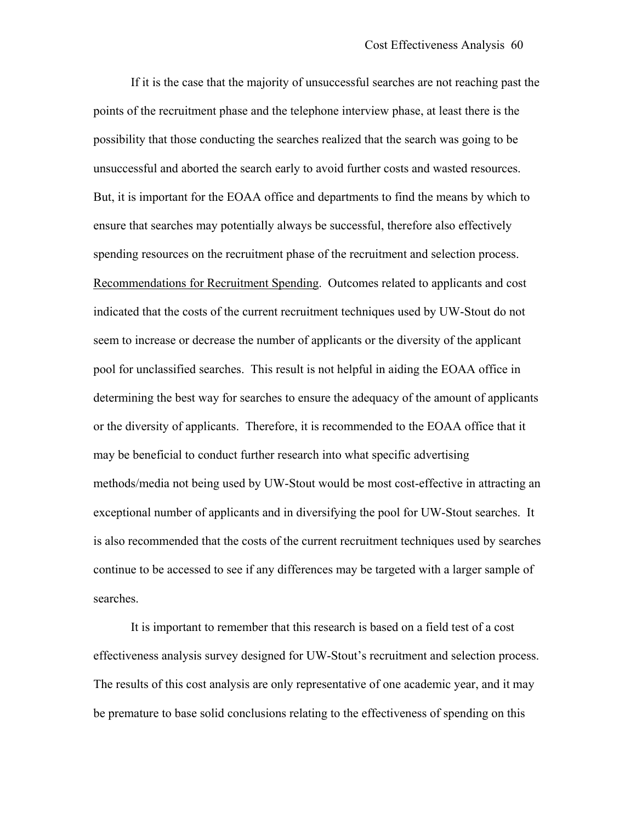If it is the case that the majority of unsuccessful searches are not reaching past the points of the recruitment phase and the telephone interview phase, at least there is the possibility that those conducting the searches realized that the search was going to be unsuccessful and aborted the search early to avoid further costs and wasted resources. But, it is important for the EOAA office and departments to find the means by which to ensure that searches may potentially always be successful, therefore also effectively spending resources on the recruitment phase of the recruitment and selection process. Recommendations for Recruitment Spending. Outcomes related to applicants and cost indicated that the costs of the current recruitment techniques used by UW-Stout do not seem to increase or decrease the number of applicants or the diversity of the applicant pool for unclassified searches. This result is not helpful in aiding the EOAA office in determining the best way for searches to ensure the adequacy of the amount of applicants or the diversity of applicants. Therefore, it is recommended to the EOAA office that it may be beneficial to conduct further research into what specific advertising methods/media not being used by UW-Stout would be most cost-effective in attracting an exceptional number of applicants and in diversifying the pool for UW-Stout searches. It is also recommended that the costs of the current recruitment techniques used by searches continue to be accessed to see if any differences may be targeted with a larger sample of searches.

It is important to remember that this research is based on a field test of a cost effectiveness analysis survey designed for UW-Stout's recruitment and selection process. The results of this cost analysis are only representative of one academic year, and it may be premature to base solid conclusions relating to the effectiveness of spending on this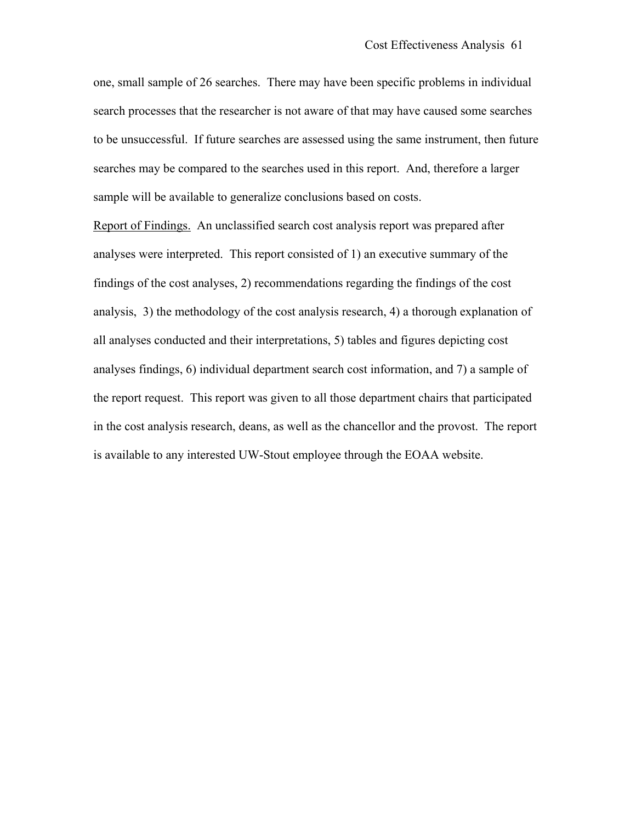one, small sample of 26 searches. There may have been specific problems in individual search processes that the researcher is not aware of that may have caused some searches to be unsuccessful. If future searches are assessed using the same instrument, then future searches may be compared to the searches used in this report. And, therefore a larger sample will be available to generalize conclusions based on costs.

Report of Findings. An unclassified search cost analysis report was prepared after analyses were interpreted. This report consisted of 1) an executive summary of the findings of the cost analyses, 2) recommendations regarding the findings of the cost analysis, 3) the methodology of the cost analysis research, 4) a thorough explanation of all analyses conducted and their interpretations, 5) tables and figures depicting cost analyses findings, 6) individual department search cost information, and 7) a sample of the report request. This report was given to all those department chairs that participated in the cost analysis research, deans, as well as the chancellor and the provost. The report is available to any interested UW-Stout employee through the EOAA website.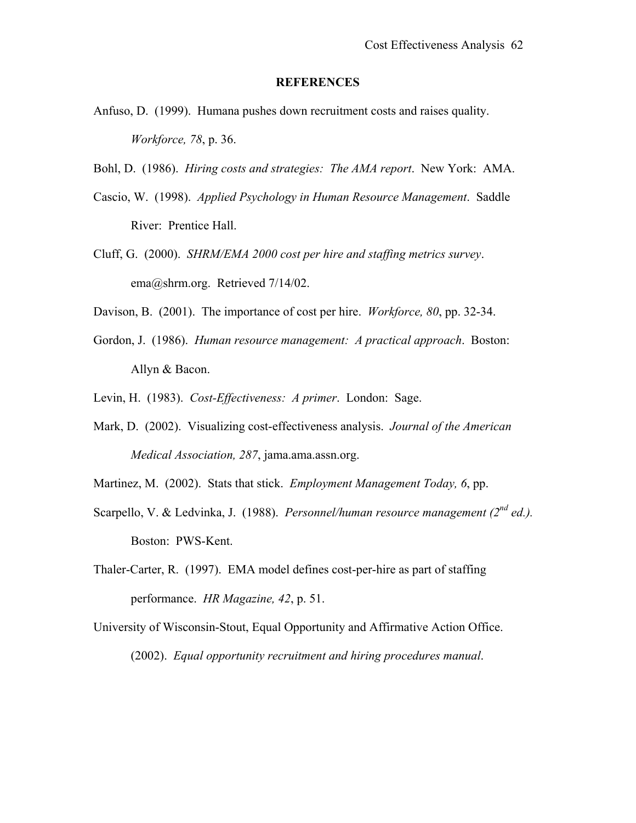#### **REFERENCES**

- <span id="page-67-0"></span>Anfuso, D. (1999). Humana pushes down recruitment costs and raises quality. *Workforce, 78*, p. 36.
- Bohl, D. (1986). *Hiring costs and strategies: The AMA report*. New York: AMA.
- Cascio, W. (1998). *Applied Psychology in Human Resource Management*. Saddle River: Prentice Hall.
- Cluff, G. (2000). *SHRM/EMA 2000 cost per hire and staffing metrics survey*. ema@shrm.org. Retrieved 7/14/02.
- Davison, B. (2001). The importance of cost per hire. *Workforce, 80*, pp. 32-34.
- Gordon, J. (1986). *Human resource management: A practical approach*. Boston: Allyn & Bacon.
- Levin, H. (1983). *Cost-Effectiveness: A primer*. London: Sage.
- Mark, D. (2002). Visualizing cost-effectiveness analysis. *Journal of the American Medical Association, 287*, jama.ama.assn.org.
- Martinez, M. (2002). Stats that stick. *Employment Management Today, 6*, pp.
- Scarpello, V. & Ledvinka, J. (1988). *Personnel/human resource management (2nd ed.).*  Boston: PWS-Kent.
- Thaler-Carter, R. (1997). EMA model defines cost-per-hire as part of staffing performance. *HR Magazine, 42*, p. 51.
- University of Wisconsin-Stout, Equal Opportunity and Affirmative Action Office. (2002). *Equal opportunity recruitment and hiring procedures manual*.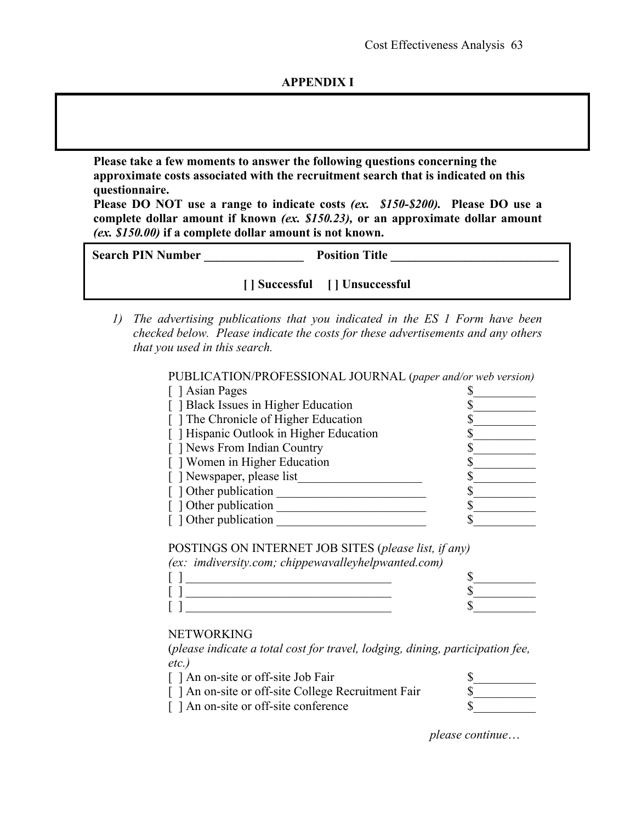### **APPENDIX I**

<span id="page-68-0"></span>**Please take a few moments to answer the following questions concerning the approximate costs associated with the recruitment search that is indicated on this questionnaire.** 

**Please DO NOT use a range to indicate costs** *(ex. \$150-\$200).* **Please DO use a complete dollar amount if known** *(ex. \$150.23),* **or an approximate dollar amount** *(ex. \$150.00)* **if a complete dollar amount is not known.** 

| <b>Search PIN Number</b> | <b>Position Title</b>           |
|--------------------------|---------------------------------|
|                          | [   Successful     Unsuccessful |

*1) The advertising publications that you indicated in the ES 1 Form have been checked below. Please indicate the costs for these advertisements and any others that you used in this search.* 

PUBLICATION/PROFESSIONAL JOURNAL (*paper and/or web version)*

| [ ] Asian Pages                          |  |
|------------------------------------------|--|
| [ ] Black Issues in Higher Education     |  |
| [] The Chronicle of Higher Education     |  |
| [ ] Hispanic Outlook in Higher Education |  |
| [ ] News From Indian Country             |  |
| [] Women in Higher Education             |  |
| [ ] Newspaper, please list               |  |
| [] Other publication                     |  |
| [] Other publication                     |  |
| [] Other publication                     |  |

POSTINGS ON INTERNET JOB SITES (*please list, if any) (ex: imdiversity.com; chippewavalleyhelpwanted.com)*

#### NETWORKING

 (*please indicate a total cost for travel, lodging, dining, participation fee, etc.)*

| [ ] An on-site or off-site Job Fair                 |  |
|-----------------------------------------------------|--|
| [ ] An on-site or off-site College Recruitment Fair |  |
| [ ] An on-site or off-site conference               |  |

*please continue*…